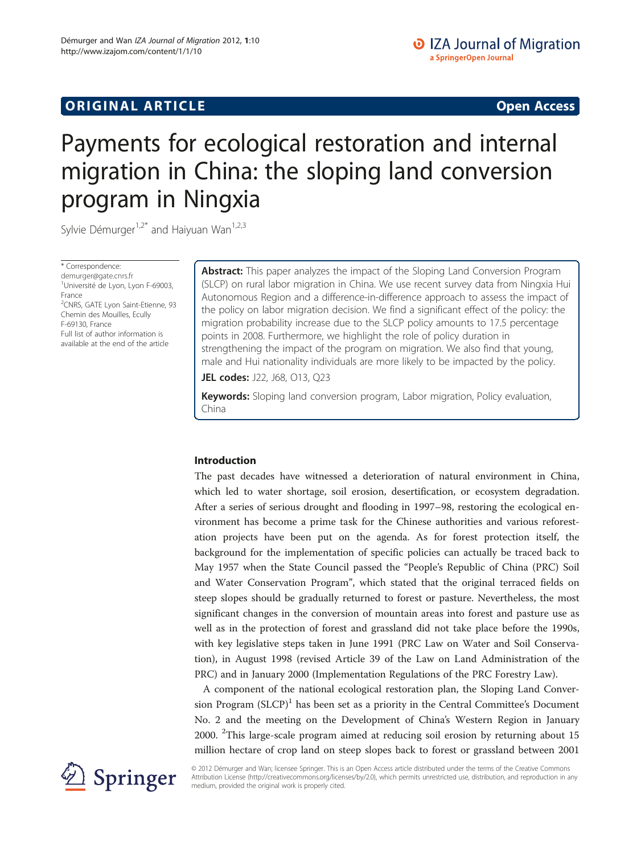# Payments for ecological restoration and internal migration in China: the sloping land conversion program in Ningxia

Sylvie Démurger<sup>1,2\*</sup> and Haiyuan Wan<sup>1,2,3</sup>

\* Correspondence: [demurger@gate.cnrs.fr](mailto:demurger@gate.cnrs.fr) <sup>1</sup>Université de Lyon, Lyon F-69003, France 2 CNRS, GATE Lyon Saint-Etienne, 93 Chemin des Mouilles, Ecully F-69130, France Full list of author information is available at the end of the article

Abstract: This paper analyzes the impact of the Sloping Land Conversion Program (SLCP) on rural labor migration in China. We use recent survey data from Ningxia Hui Autonomous Region and a difference-in-difference approach to assess the impact of the policy on labor migration decision. We find a significant effect of the policy: the migration probability increase due to the SLCP policy amounts to 17.5 percentage points in 2008. Furthermore, we highlight the role of policy duration in strengthening the impact of the program on migration. We also find that young, male and Hui nationality individuals are more likely to be impacted by the policy.

JEL codes: J22, J68, O13, Q23

Keywords: Sloping land conversion program, Labor migration, Policy evaluation, China

## Introduction

The past decades have witnessed a deterioration of natural environment in China, which led to water shortage, soil erosion, desertification, or ecosystem degradation. After a series of serious drought and flooding in 1997–98, restoring the ecological environment has become a prime task for the Chinese authorities and various reforestation projects have been put on the agenda. As for forest protection itself, the background for the implementation of specific policies can actually be traced back to May 1957 when the State Council passed the "People's Republic of China (PRC) Soil and Water Conservation Program", which stated that the original terraced fields on steep slopes should be gradually returned to forest or pasture. Nevertheless, the most significant changes in the conversion of mountain areas into forest and pasture use as well as in the protection of forest and grassland did not take place before the 1990s, with key legislative steps taken in June 1991 (PRC Law on Water and Soil Conservation), in August 1998 (revised Article 39 of the Law on Land Administration of the PRC) and in January 2000 (Implementation Regulations of the PRC Forestry Law).

A component of the national ecological restoration plan, the Sloping Land Conversion Program  $(SLCP)^1$  has been set as a priority in the Central Committee's Document No. 2 and the meeting on the Development of China's Western Region in January 2000. <sup>2</sup>This large-scale program aimed at reducing soil erosion by returning about 15 million hectare of crop land on steep slopes back to forest or grassland between 2001



© 2012 Démurger and Wan; licensee Springer. This is an Open Access article distributed under the terms of the Creative Commons Attribution License [\(http://creativecommons.org/licenses/by/2.0\)](http://creativecommons.org/licenses/by/2.0), which permits unrestricted use, distribution, and reproduction in any medium, provided the original work is properly cited.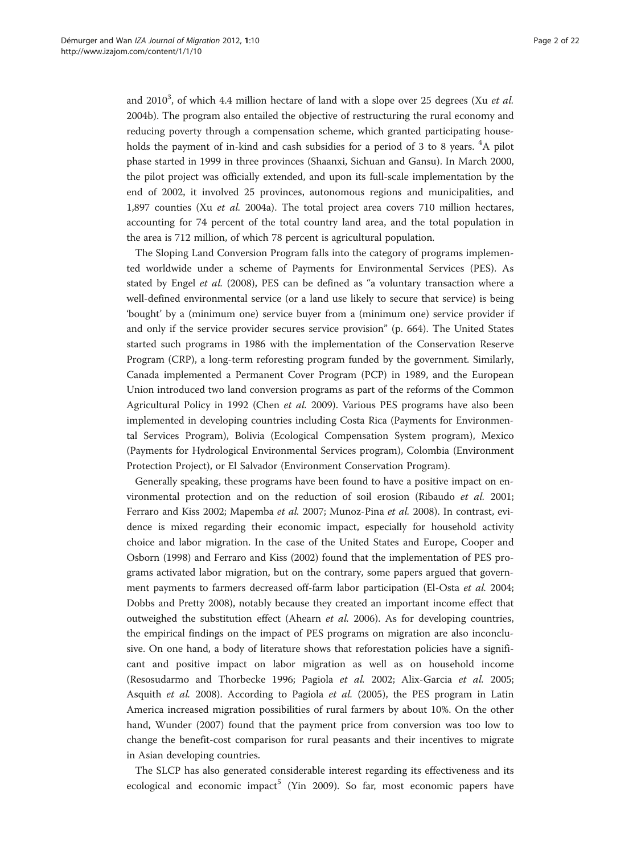and 2010<sup>3</sup>, of which 4.4 million hectare of land with a slope over 25 degrees (Xu et al. [2004b](#page-20-0)). The program also entailed the objective of restructuring the rural economy and reducing poverty through a compensation scheme, which granted participating households the payment of in-kind and cash subsidies for a period of 3 to 8 years. <sup>4</sup>A pilot phase started in 1999 in three provinces (Shaanxi, Sichuan and Gansu). In March 2000, the pilot project was officially extended, and upon its full-scale implementation by the end of 2002, it involved 25 provinces, autonomous regions and municipalities, and 1,897 counties (Xu et al. [2004a](#page-20-0)). The total project area covers 710 million hectares, accounting for 74 percent of the total country land area, and the total population in the area is 712 million, of which 78 percent is agricultural population.

The Sloping Land Conversion Program falls into the category of programs implemented worldwide under a scheme of Payments for Environmental Services (PES). As stated by Engel et al. [\(2008\)](#page-20-0), PES can be defined as "a voluntary transaction where a well-defined environmental service (or a land use likely to secure that service) is being 'bought' by a (minimum one) service buyer from a (minimum one) service provider if and only if the service provider secures service provision" (p. 664). The United States started such programs in 1986 with the implementation of the Conservation Reserve Program (CRP), a long-term reforesting program funded by the government. Similarly, Canada implemented a Permanent Cover Program (PCP) in 1989, and the European Union introduced two land conversion programs as part of the reforms of the Common Agricultural Policy in 1992 (Chen et al. [2009\)](#page-20-0). Various PES programs have also been implemented in developing countries including Costa Rica (Payments for Environmental Services Program), Bolivia (Ecological Compensation System program), Mexico (Payments for Hydrological Environmental Services program), Colombia (Environment Protection Project), or El Salvador (Environment Conservation Program).

Generally speaking, these programs have been found to have a positive impact on environmental protection and on the reduction of soil erosion (Ribaudo et al. [2001](#page-20-0); Ferraro and Kiss [2002](#page-20-0); Mapemba et al. [2007](#page-20-0); Munoz-Pina et al. [2008\)](#page-20-0). In contrast, evidence is mixed regarding their economic impact, especially for household activity choice and labor migration. In the case of the United States and Europe, Cooper and Osborn ([1998](#page-20-0)) and Ferraro and Kiss [\(2002\)](#page-20-0) found that the implementation of PES programs activated labor migration, but on the contrary, some papers argued that govern-ment payments to farmers decreased off-farm labor participation (El-Osta et al. [2004](#page-20-0); Dobbs and Pretty [2008](#page-20-0)), notably because they created an important income effect that outweighed the substitution effect (Ahearn et al. [2006](#page-19-0)). As for developing countries, the empirical findings on the impact of PES programs on migration are also inconclusive. On one hand, a body of literature shows that reforestation policies have a significant and positive impact on labor migration as well as on household income (Resosudarmo and Thorbecke [1996](#page-20-0); Pagiola et al. [2002;](#page-20-0) Alix-Garcia et al. [2005](#page-20-0); Asquith et al. [2008](#page-20-0)). According to Pagiola et al. ([2005](#page-20-0)), the PES program in Latin America increased migration possibilities of rural farmers by about 10%. On the other hand, Wunder [\(2007](#page-20-0)) found that the payment price from conversion was too low to change the benefit-cost comparison for rural peasants and their incentives to migrate in Asian developing countries.

The SLCP has also generated considerable interest regarding its effectiveness and its ecological and economic impact<sup>5</sup> (Yin [2009](#page-20-0)). So far, most economic papers have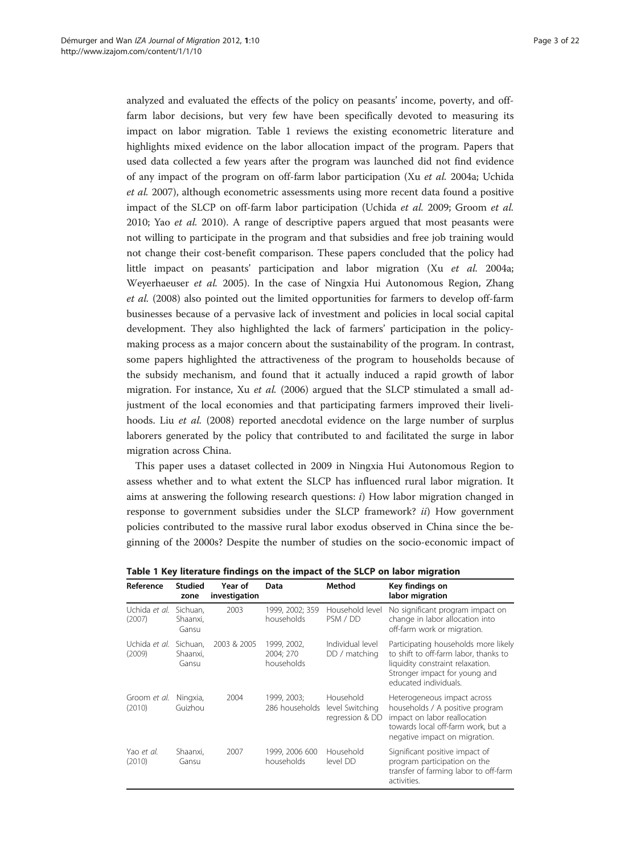analyzed and evaluated the effects of the policy on peasants' income, poverty, and offfarm labor decisions, but very few have been specifically devoted to measuring its impact on labor migration. Table 1 reviews the existing econometric literature and highlights mixed evidence on the labor allocation impact of the program. Papers that used data collected a few years after the program was launched did not find evidence of any impact of the program on off-farm labor participation (Xu et al. [2004a;](#page-20-0) Uchida et al. [2007\)](#page-20-0), although econometric assessments using more recent data found a positive impact of the SLCP on off-farm labor participation (Uchida et al. [2009](#page-20-0); Groom et al. [2010](#page-20-0); Yao et al. [2010](#page-20-0)). A range of descriptive papers argued that most peasants were not willing to participate in the program and that subsidies and free job training would not change their cost-benefit comparison. These papers concluded that the policy had little impact on peasants' participation and labor migration (Xu et al. [2004a](#page-20-0); Weyerhaeuser et al. [2005\)](#page-20-0). In the case of Ningxia Hui Autonomous Region, Zhang et al. [\(2008\)](#page-21-0) also pointed out the limited opportunities for farmers to develop off-farm businesses because of a pervasive lack of investment and policies in local social capital development. They also highlighted the lack of farmers' participation in the policymaking process as a major concern about the sustainability of the program. In contrast, some papers highlighted the attractiveness of the program to households because of the subsidy mechanism, and found that it actually induced a rapid growth of labor migration. For instance, Xu *et al.* [\(2006\)](#page-20-0) argued that the SLCP stimulated a small adjustment of the local economies and that participating farmers improved their livelihoods. Liu et al. [\(2008\)](#page-20-0) reported anecdotal evidence on the large number of surplus laborers generated by the policy that contributed to and facilitated the surge in labor migration across China.

This paper uses a dataset collected in 2009 in Ningxia Hui Autonomous Region to assess whether and to what extent the SLCP has influenced rural labor migration. It aims at answering the following research questions:  $i$ ) How labor migration changed in response to government subsidies under the SLCP framework? ii) How government policies contributed to the massive rural labor exodus observed in China since the beginning of the 2000s? Despite the number of studies on the socio-economic impact of

| Table 1 Key literature findings on the impact of the SLCP on labor migration |  |
|------------------------------------------------------------------------------|--|
|------------------------------------------------------------------------------|--|

| Reference               | <b>Studied</b><br>zone        | Year of<br>investigation | Data                                   | Method                                          | Key findings on<br>labor migration                                                                                                                                          |
|-------------------------|-------------------------------|--------------------------|----------------------------------------|-------------------------------------------------|-----------------------------------------------------------------------------------------------------------------------------------------------------------------------------|
| Uchida et al.<br>(2007) | Sichuan.<br>Shaanxi,<br>Gansu | 2003                     | 1999, 2002; 359<br>households          | Household level<br>PSM / DD                     | No significant program impact on<br>change in labor allocation into<br>off-farm work or migration.                                                                          |
| Uchida et al.<br>(2009) | Sichuan.<br>Shaanxi,<br>Gansu | 2003 & 2005              | 1999, 2002,<br>2004; 270<br>households | Individual level<br>DD / matching               | Participating households more likely<br>to shift to off-farm labor, thanks to<br>liquidity constraint relaxation.<br>Stronger impact for young and<br>educated individuals. |
| Groom et al.<br>(2010)  | Ningxia,<br>Guizhou           | 2004                     | 1999, 2003;<br>286 households          | Household<br>level Switching<br>regression & DD | Heterogeneous impact across<br>households / A positive program<br>impact on labor reallocation<br>towards local off-farm work, but a<br>negative impact on migration.       |
| Yao et al.<br>(2010)    | Shaanxi.<br>Gansu             | 2007                     | 1999, 2006 600<br>households           | Household<br>level DD                           | Significant positive impact of<br>program participation on the<br>transfer of farming labor to off-farm<br>activities.                                                      |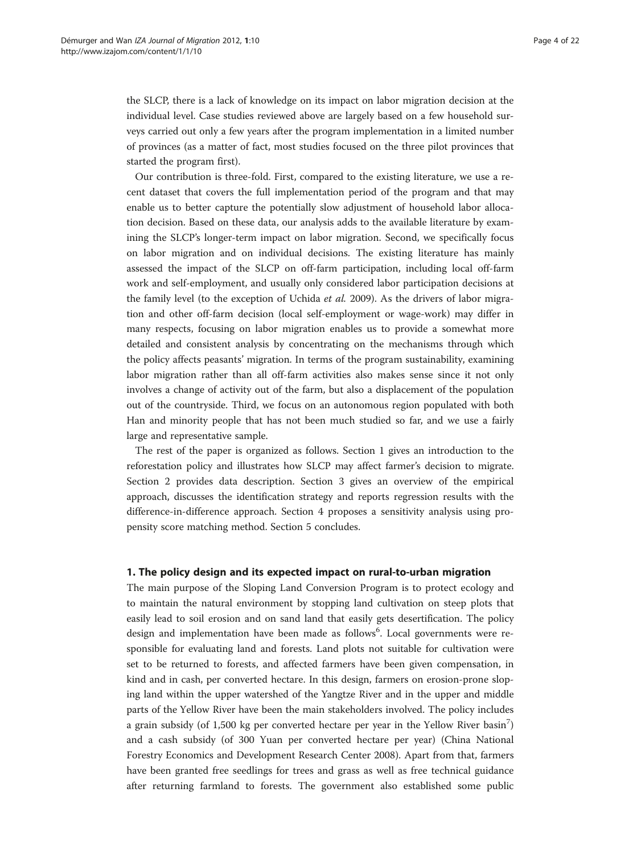the SLCP, there is a lack of knowledge on its impact on labor migration decision at the individual level. Case studies reviewed above are largely based on a few household surveys carried out only a few years after the program implementation in a limited number of provinces (as a matter of fact, most studies focused on the three pilot provinces that started the program first).

Our contribution is three-fold. First, compared to the existing literature, we use a recent dataset that covers the full implementation period of the program and that may enable us to better capture the potentially slow adjustment of household labor allocation decision. Based on these data, our analysis adds to the available literature by examining the SLCP's longer-term impact on labor migration. Second, we specifically focus on labor migration and on individual decisions. The existing literature has mainly assessed the impact of the SLCP on off-farm participation, including local off-farm work and self-employment, and usually only considered labor participation decisions at the family level (to the exception of Uchida *et al.* [2009\)](#page-20-0). As the drivers of labor migration and other off-farm decision (local self-employment or wage-work) may differ in many respects, focusing on labor migration enables us to provide a somewhat more detailed and consistent analysis by concentrating on the mechanisms through which the policy affects peasants' migration. In terms of the program sustainability, examining labor migration rather than all off-farm activities also makes sense since it not only involves a change of activity out of the farm, but also a displacement of the population out of the countryside. Third, we focus on an autonomous region populated with both Han and minority people that has not been much studied so far, and we use a fairly large and representative sample.

The rest of the paper is organized as follows. Section 1 gives an introduction to the reforestation policy and illustrates how SLCP may affect farmer's decision to migrate. Section 2 provides data description. Section 3 gives an overview of the empirical approach, discusses the identification strategy and reports regression results with the difference-in-difference approach. Section 4 proposes a sensitivity analysis using propensity score matching method. Section 5 concludes.

## 1. The policy design and its expected impact on rural-to-urban migration

The main purpose of the Sloping Land Conversion Program is to protect ecology and to maintain the natural environment by stopping land cultivation on steep plots that easily lead to soil erosion and on sand land that easily gets desertification. The policy design and implementation have been made as follows<sup>6</sup>. Local governments were responsible for evaluating land and forests. Land plots not suitable for cultivation were set to be returned to forests, and affected farmers have been given compensation, in kind and in cash, per converted hectare. In this design, farmers on erosion-prone sloping land within the upper watershed of the Yangtze River and in the upper and middle parts of the Yellow River have been the main stakeholders involved. The policy includes a grain subsidy (of 1,500 kg per converted hectare per year in the Yellow River basin<sup>7</sup>) and a cash subsidy (of 300 Yuan per converted hectare per year) (China National Forestry Economics and Development Research Center [2008](#page-20-0)). Apart from that, farmers have been granted free seedlings for trees and grass as well as free technical guidance after returning farmland to forests. The government also established some public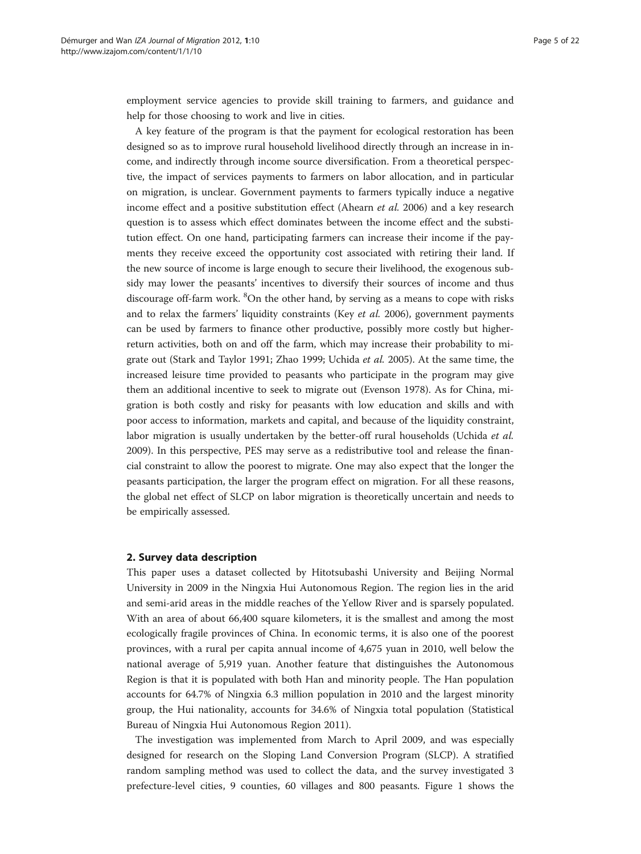employment service agencies to provide skill training to farmers, and guidance and help for those choosing to work and live in cities.

A key feature of the program is that the payment for ecological restoration has been designed so as to improve rural household livelihood directly through an increase in income, and indirectly through income source diversification. From a theoretical perspective, the impact of services payments to farmers on labor allocation, and in particular on migration, is unclear. Government payments to farmers typically induce a negative income effect and a positive substitution effect (Ahearn et al. [2006](#page-19-0)) and a key research question is to assess which effect dominates between the income effect and the substitution effect. On one hand, participating farmers can increase their income if the payments they receive exceed the opportunity cost associated with retiring their land. If the new source of income is large enough to secure their livelihood, the exogenous subsidy may lower the peasants' incentives to diversify their sources of income and thus discourage off-farm work. <sup>8</sup>On the other hand, by serving as a means to cope with risks and to relax the farmers' liquidity constraints (Key et al. [2006\)](#page-20-0), government payments can be used by farmers to finance other productive, possibly more costly but higherreturn activities, both on and off the farm, which may increase their probability to mi-grate out (Stark and Taylor [1991](#page-20-0); Zhao [1999](#page-21-0); Uchida et al. [2005](#page-20-0)). At the same time, the increased leisure time provided to peasants who participate in the program may give them an additional incentive to seek to migrate out (Evenson [1978](#page-20-0)). As for China, migration is both costly and risky for peasants with low education and skills and with poor access to information, markets and capital, and because of the liquidity constraint, labor migration is usually undertaken by the better-off rural households (Uchida et al. [2009](#page-20-0)). In this perspective, PES may serve as a redistributive tool and release the financial constraint to allow the poorest to migrate. One may also expect that the longer the peasants participation, the larger the program effect on migration. For all these reasons, the global net effect of SLCP on labor migration is theoretically uncertain and needs to be empirically assessed.

#### 2. Survey data description

This paper uses a dataset collected by Hitotsubashi University and Beijing Normal University in 2009 in the Ningxia Hui Autonomous Region. The region lies in the arid and semi-arid areas in the middle reaches of the Yellow River and is sparsely populated. With an area of about 66,400 square kilometers, it is the smallest and among the most ecologically fragile provinces of China. In economic terms, it is also one of the poorest provinces, with a rural per capita annual income of 4,675 yuan in 2010, well below the national average of 5,919 yuan. Another feature that distinguishes the Autonomous Region is that it is populated with both Han and minority people. The Han population accounts for 64.7% of Ningxia 6.3 million population in 2010 and the largest minority group, the Hui nationality, accounts for 34.6% of Ningxia total population (Statistical Bureau of Ningxia Hui Autonomous Region [2011\)](#page-20-0).

The investigation was implemented from March to April 2009, and was especially designed for research on the Sloping Land Conversion Program (SLCP). A stratified random sampling method was used to collect the data, and the survey investigated 3 prefecture-level cities, 9 counties, 60 villages and 800 peasants. Figure [1](#page-5-0) shows the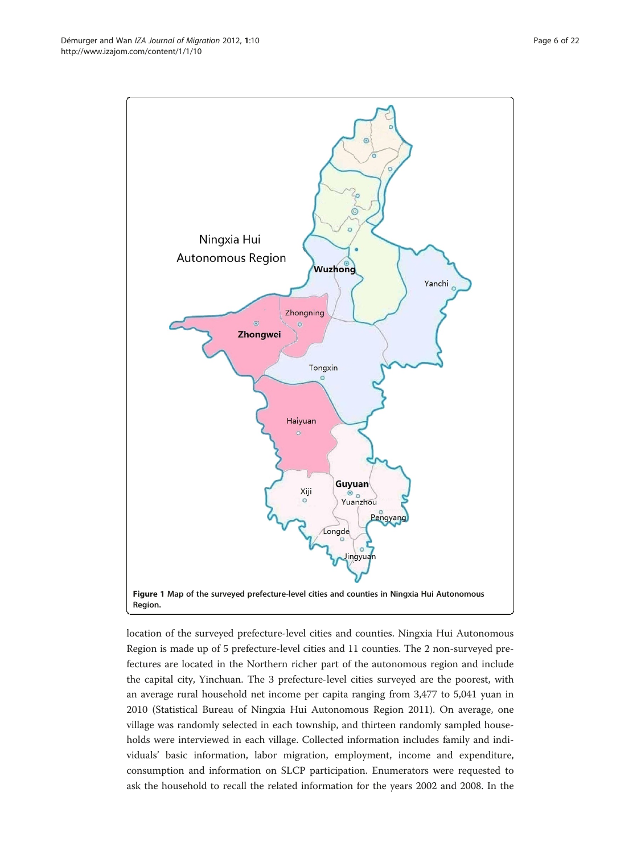<span id="page-5-0"></span>

location of the surveyed prefecture-level cities and counties. Ningxia Hui Autonomous Region is made up of 5 prefecture-level cities and 11 counties. The 2 non-surveyed prefectures are located in the Northern richer part of the autonomous region and include the capital city, Yinchuan. The 3 prefecture-level cities surveyed are the poorest, with an average rural household net income per capita ranging from 3,477 to 5,041 yuan in 2010 (Statistical Bureau of Ningxia Hui Autonomous Region [2011](#page-20-0)). On average, one village was randomly selected in each township, and thirteen randomly sampled households were interviewed in each village. Collected information includes family and individuals' basic information, labor migration, employment, income and expenditure, consumption and information on SLCP participation. Enumerators were requested to ask the household to recall the related information for the years 2002 and 2008. In the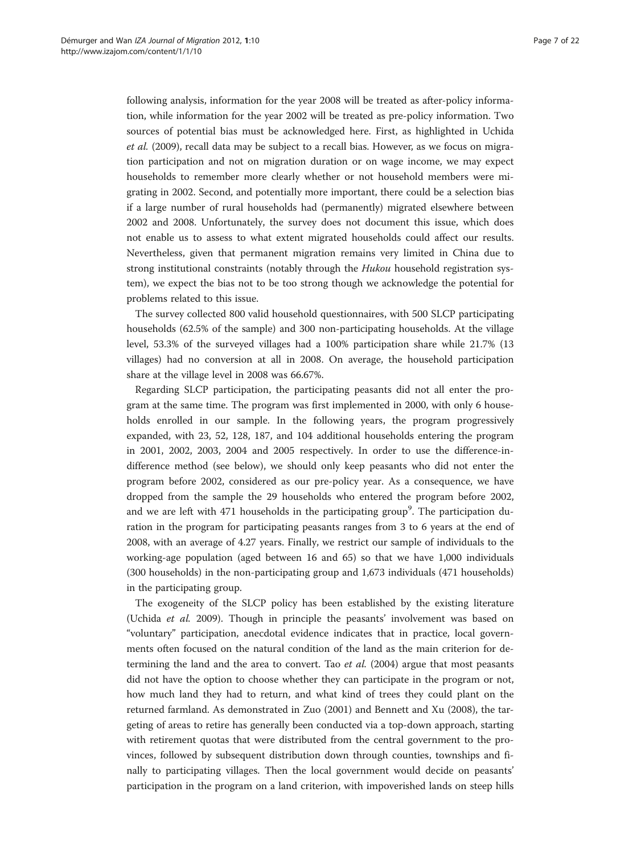following analysis, information for the year 2008 will be treated as after-policy information, while information for the year 2002 will be treated as pre-policy information. Two sources of potential bias must be acknowledged here. First, as highlighted in Uchida et al. [\(2009\)](#page-20-0), recall data may be subject to a recall bias. However, as we focus on migration participation and not on migration duration or on wage income, we may expect households to remember more clearly whether or not household members were migrating in 2002. Second, and potentially more important, there could be a selection bias if a large number of rural households had (permanently) migrated elsewhere between 2002 and 2008. Unfortunately, the survey does not document this issue, which does not enable us to assess to what extent migrated households could affect our results. Nevertheless, given that permanent migration remains very limited in China due to strong institutional constraints (notably through the *Hukou* household registration system), we expect the bias not to be too strong though we acknowledge the potential for problems related to this issue.

The survey collected 800 valid household questionnaires, with 500 SLCP participating households (62.5% of the sample) and 300 non-participating households. At the village level, 53.3% of the surveyed villages had a 100% participation share while 21.7% (13 villages) had no conversion at all in 2008. On average, the household participation share at the village level in 2008 was 66.67%.

Regarding SLCP participation, the participating peasants did not all enter the program at the same time. The program was first implemented in 2000, with only 6 households enrolled in our sample. In the following years, the program progressively expanded, with 23, 52, 128, 187, and 104 additional households entering the program in 2001, 2002, 2003, 2004 and 2005 respectively. In order to use the difference-indifference method (see below), we should only keep peasants who did not enter the program before 2002, considered as our pre-policy year. As a consequence, we have dropped from the sample the 29 households who entered the program before 2002, and we are left with 471 households in the participating group<sup>9</sup>. The participation duration in the program for participating peasants ranges from 3 to 6 years at the end of 2008, with an average of 4.27 years. Finally, we restrict our sample of individuals to the working-age population (aged between 16 and 65) so that we have 1,000 individuals (300 households) in the non-participating group and 1,673 individuals (471 households) in the participating group.

The exogeneity of the SLCP policy has been established by the existing literature (Uchida et al. [2009](#page-20-0)). Though in principle the peasants' involvement was based on "voluntary" participation, anecdotal evidence indicates that in practice, local governments often focused on the natural condition of the land as the main criterion for de-termining the land and the area to convert. Tao et al. ([2004](#page-20-0)) argue that most peasants did not have the option to choose whether they can participate in the program or not, how much land they had to return, and what kind of trees they could plant on the returned farmland. As demonstrated in Zuo [\(2001\)](#page-21-0) and Bennett and Xu [\(2008\)](#page-20-0), the targeting of areas to retire has generally been conducted via a top-down approach, starting with retirement quotas that were distributed from the central government to the provinces, followed by subsequent distribution down through counties, townships and finally to participating villages. Then the local government would decide on peasants' participation in the program on a land criterion, with impoverished lands on steep hills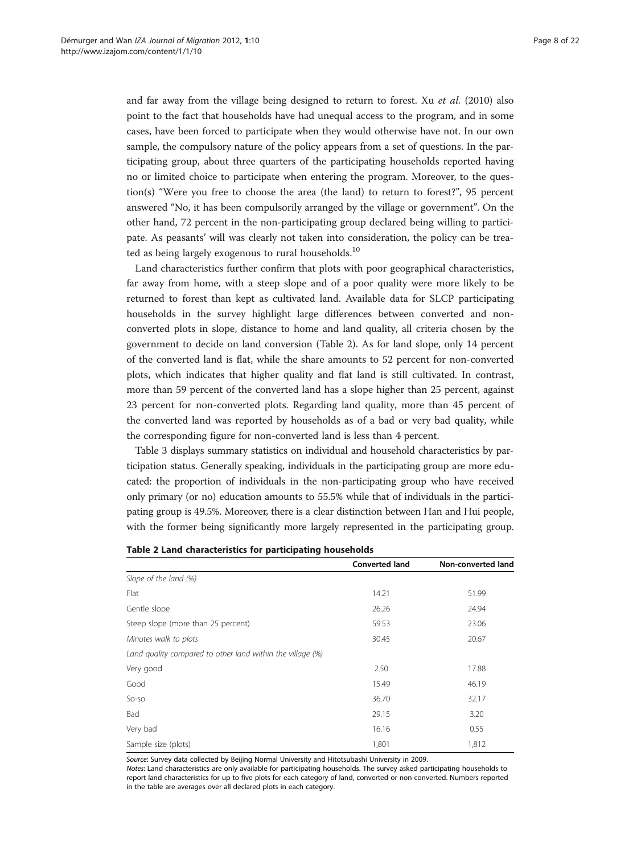and far away from the village being designed to return to forest. Xu et al.  $(2010)$  also point to the fact that households have had unequal access to the program, and in some cases, have been forced to participate when they would otherwise have not. In our own sample, the compulsory nature of the policy appears from a set of questions. In the participating group, about three quarters of the participating households reported having no or limited choice to participate when entering the program. Moreover, to the question(s) "Were you free to choose the area (the land) to return to forest?", 95 percent answered "No, it has been compulsorily arranged by the village or government". On the other hand, 72 percent in the non-participating group declared being willing to participate. As peasants' will was clearly not taken into consideration, the policy can be treated as being largely exogenous to rural households.<sup>10</sup>

Land characteristics further confirm that plots with poor geographical characteristics, far away from home, with a steep slope and of a poor quality were more likely to be returned to forest than kept as cultivated land. Available data for SLCP participating households in the survey highlight large differences between converted and nonconverted plots in slope, distance to home and land quality, all criteria chosen by the government to decide on land conversion (Table 2). As for land slope, only 14 percent of the converted land is flat, while the share amounts to 52 percent for non-converted plots, which indicates that higher quality and flat land is still cultivated. In contrast, more than 59 percent of the converted land has a slope higher than 25 percent, against 23 percent for non-converted plots. Regarding land quality, more than 45 percent of the converted land was reported by households as of a bad or very bad quality, while the corresponding figure for non-converted land is less than 4 percent.

Table [3](#page-8-0) displays summary statistics on individual and household characteristics by participation status. Generally speaking, individuals in the participating group are more educated: the proportion of individuals in the non-participating group who have received only primary (or no) education amounts to 55.5% while that of individuals in the participating group is 49.5%. Moreover, there is a clear distinction between Han and Hui people, with the former being significantly more largely represented in the participating group.

|                                                            | <b>Converted land</b> | Non-converted land |
|------------------------------------------------------------|-----------------------|--------------------|
| Slope of the land (%)                                      |                       |                    |
| Flat                                                       | 14.21                 | 51.99              |
| Gentle slope                                               | 26.26                 | 24.94              |
| Steep slope (more than 25 percent)                         | 59.53                 | 23.06              |
| Minutes walk to plots                                      | 30.45                 | 20.67              |
| Land quality compared to other land within the village (%) |                       |                    |
| Very good                                                  | 2.50                  | 17.88              |
| Good                                                       | 15.49                 | 46.19              |
| So-so                                                      | 36.70                 | 32.17              |
| Bad                                                        | 29.15                 | 3.20               |
| Very bad                                                   | 16.16                 | 0.55               |
| Sample size (plots)                                        | 1,801                 | 1,812              |

| Table 2 Land characteristics for participating households |  |  |
|-----------------------------------------------------------|--|--|
|-----------------------------------------------------------|--|--|

Source: Survey data collected by Beijing Normal University and Hitotsubashi University in 2009.

Notes: Land characteristics are only available for participating households. The survey asked participating households to report land characteristics for up to five plots for each category of land, converted or non-converted. Numbers reported in the table are averages over all declared plots in each category.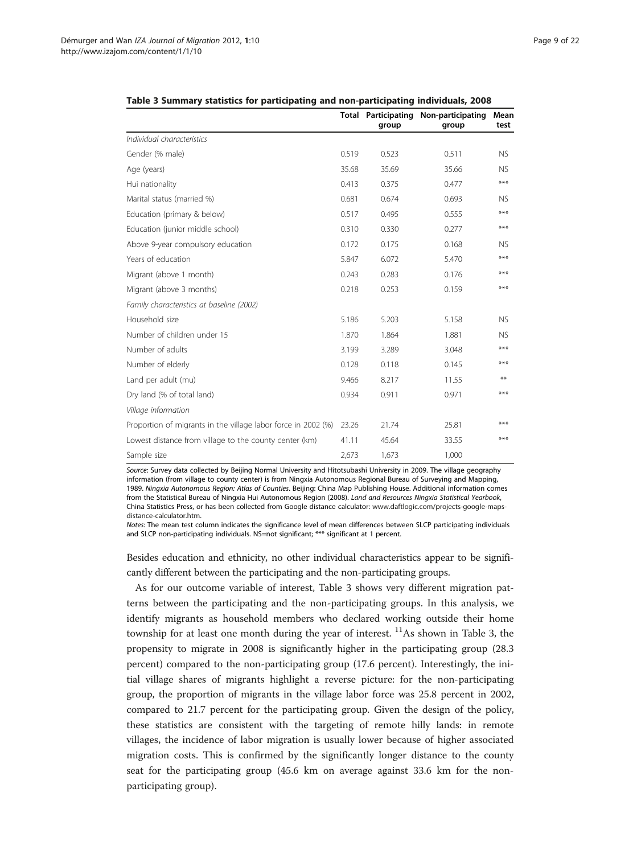|                                                               |       | <b>Total Participating</b><br>group | Non-participating<br>group | Mean<br>test |
|---------------------------------------------------------------|-------|-------------------------------------|----------------------------|--------------|
| Individual characteristics                                    |       |                                     |                            |              |
| Gender (% male)                                               | 0.519 | 0.523                               | 0.511                      | <b>NS</b>    |
| Age (years)                                                   | 35.68 | 35.69                               | 35.66                      | <b>NS</b>    |
| Hui nationality                                               | 0.413 | 0.375                               | 0.477                      | ***          |
| Marital status (married %)                                    | 0.681 | 0.674                               | 0.693                      | <b>NS</b>    |
| Education (primary & below)                                   | 0.517 | 0.495                               | 0.555                      | ***          |
| Education (junior middle school)                              | 0.310 | 0.330                               | 0.277                      | ***          |
| Above 9-year compulsory education                             | 0.172 | 0.175                               | 0.168                      | <b>NS</b>    |
| Years of education                                            | 5.847 | 6.072                               | 5.470                      | ***          |
| Migrant (above 1 month)                                       | 0.243 | 0.283                               | 0.176                      | ***          |
| Migrant (above 3 months)                                      | 0.218 | 0.253                               | 0.159                      | ***          |
| Family characteristics at baseline (2002)                     |       |                                     |                            |              |
| Household size                                                | 5.186 | 5.203                               | 5.158                      | <b>NS</b>    |
| Number of children under 15                                   | 1.870 | 1.864                               | 1.881                      | <b>NS</b>    |
| Number of adults                                              | 3.199 | 3.289                               | 3.048                      | ***          |
| Number of elderly                                             | 0.128 | 0.118                               | 0.145                      | ***          |
| Land per adult (mu)                                           | 9.466 | 8.217                               | 11.55                      | **           |
| Dry land (% of total land)                                    | 0.934 | 0.911                               | 0.971                      | ***          |
| Village information                                           |       |                                     |                            |              |
| Proportion of migrants in the village labor force in 2002 (%) | 23.26 | 21.74                               | 25.81                      | ***          |
| Lowest distance from village to the county center (km)        | 41.11 | 45.64                               | 33.55                      | ***          |
| Sample size                                                   | 2,673 | 1,673                               | 1,000                      |              |

<span id="page-8-0"></span>

| Table 3 Summary statistics for participating and non-participating individuals, 2008 |  |  |  |  |  |  |
|--------------------------------------------------------------------------------------|--|--|--|--|--|--|
|--------------------------------------------------------------------------------------|--|--|--|--|--|--|

Source: Survey data collected by Beijing Normal University and Hitotsubashi University in 2009. The village geography information (from village to county center) is from Ningxia Autonomous Regional Bureau of Surveying and Mapping, 1989. Ningxia Autonomous Region: Atlas of Counties. Beijing: China Map Publishing House. Additional information comes from the Statistical Bureau of Ningxia Hui Autonomous Region (2008). Land and Resources Ningxia Statistical Yearbook, China Statistics Press, or has been collected from Google distance calculator: [www.daftlogic.com/projects-google-maps](http://www.daftlogic.com/projects-google-maps-distance-calculator.htm)[distance-calculator.htm.](http://www.daftlogic.com/projects-google-maps-distance-calculator.htm)

Notes: The mean test column indicates the significance level of mean differences between SLCP participating individuals and SLCP non-participating individuals. NS=not significant; \*\*\* significant at 1 percent.

Besides education and ethnicity, no other individual characteristics appear to be significantly different between the participating and the non-participating groups.

As for our outcome variable of interest, Table 3 shows very different migration patterns between the participating and the non-participating groups. In this analysis, we identify migrants as household members who declared working outside their home township for at least one month during the year of interest.  $^{11}$ As shown in Table 3, the propensity to migrate in 2008 is significantly higher in the participating group (28.3 percent) compared to the non-participating group (17.6 percent). Interestingly, the initial village shares of migrants highlight a reverse picture: for the non-participating group, the proportion of migrants in the village labor force was 25.8 percent in 2002, compared to 21.7 percent for the participating group. Given the design of the policy, these statistics are consistent with the targeting of remote hilly lands: in remote villages, the incidence of labor migration is usually lower because of higher associated migration costs. This is confirmed by the significantly longer distance to the county seat for the participating group (45.6 km on average against 33.6 km for the nonparticipating group).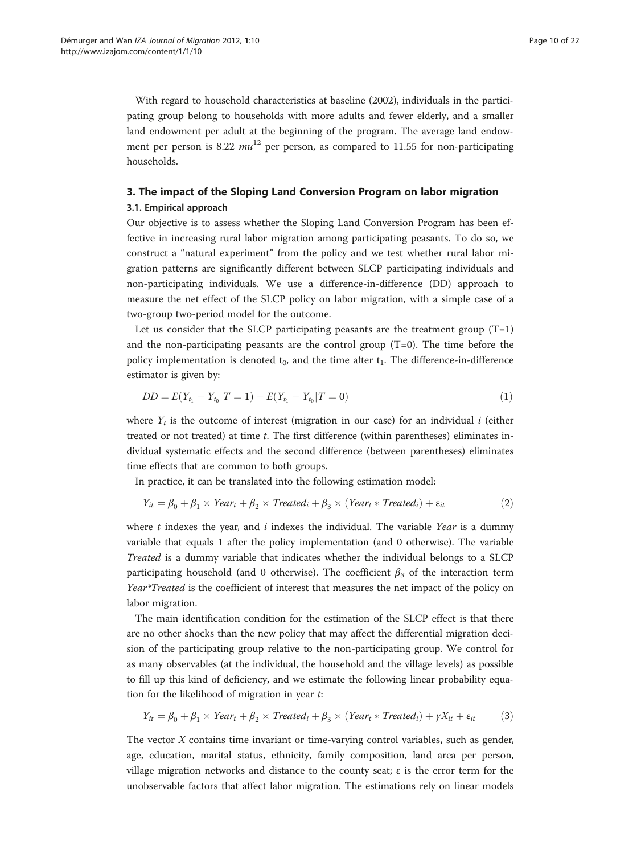With regard to household characteristics at baseline (2002), individuals in the participating group belong to households with more adults and fewer elderly, and a smaller land endowment per adult at the beginning of the program. The average land endowment per person is 8.22  $mu^{12}$  per person, as compared to 11.55 for non-participating households.

## 3. The impact of the Sloping Land Conversion Program on labor migration

## 3.1. Empirical approach

Our objective is to assess whether the Sloping Land Conversion Program has been effective in increasing rural labor migration among participating peasants. To do so, we construct a "natural experiment" from the policy and we test whether rural labor migration patterns are significantly different between SLCP participating individuals and non-participating individuals. We use a difference-in-difference (DD) approach to measure the net effect of the SLCP policy on labor migration, with a simple case of a two-group two-period model for the outcome.

Let us consider that the SLCP participating peasants are the treatment group  $(T=1)$ and the non-participating peasants are the control group  $(T=0)$ . The time before the policy implementation is denoted  $t_0$ , and the time after  $t_1$ . The difference-in-difference estimator is given by:

$$
DD = E(Y_{t_1} - Y_{t_0}|T = 1) - E(Y_{t_1} - Y_{t_0}|T = 0)
$$
\n(1)

where  $Y_t$  is the outcome of interest (migration in our case) for an individual i (either treated or not treated) at time  $t$ . The first difference (within parentheses) eliminates individual systematic effects and the second difference (between parentheses) eliminates time effects that are common to both groups.

In practice, it can be translated into the following estimation model:

$$
Y_{it} = \beta_0 + \beta_1 \times Year_t + \beta_2 \times Treated_i + \beta_3 \times (Year_t * Treated_i) + \varepsilon_{it}
$$
\n(2)

where  $t$  indexes the year, and  $i$  indexes the individual. The variable Year is a dummy variable that equals 1 after the policy implementation (and 0 otherwise). The variable Treated is a dummy variable that indicates whether the individual belongs to a SLCP participating household (and 0 otherwise). The coefficient  $\beta_3$  of the interaction term Year\*Treated is the coefficient of interest that measures the net impact of the policy on labor migration.

The main identification condition for the estimation of the SLCP effect is that there are no other shocks than the new policy that may affect the differential migration decision of the participating group relative to the non-participating group. We control for as many observables (at the individual, the household and the village levels) as possible to fill up this kind of deficiency, and we estimate the following linear probability equation for the likelihood of migration in year t:

$$
Y_{it} = \beta_0 + \beta_1 \times Year_t + \beta_2 \times Treated_i + \beta_3 \times (Year_t * Treated_i) + \gamma X_{it} + \varepsilon_{it}
$$
 (3)

The vector  $X$  contains time invariant or time-varying control variables, such as gender, age, education, marital status, ethnicity, family composition, land area per person, village migration networks and distance to the county seat; ε is the error term for the unobservable factors that affect labor migration. The estimations rely on linear models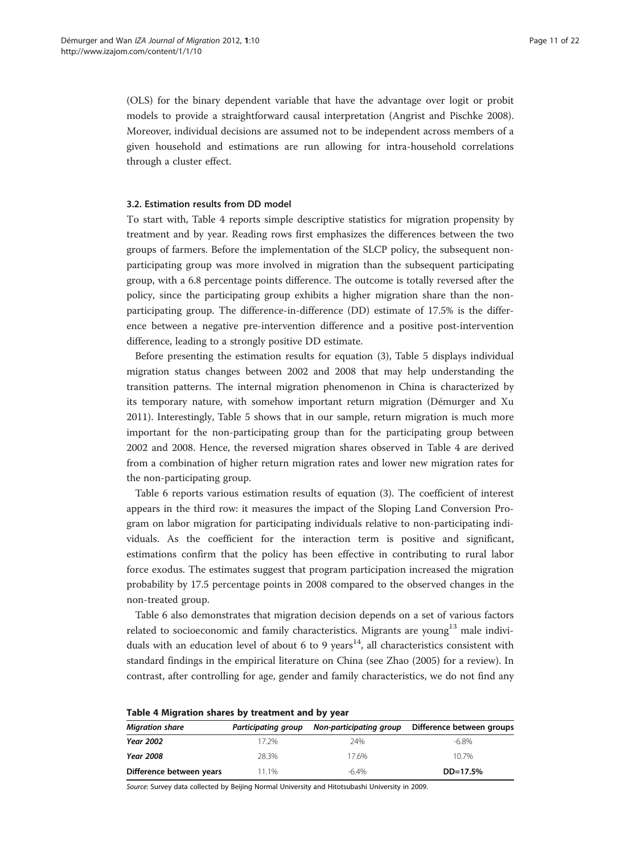(OLS) for the binary dependent variable that have the advantage over logit or probit models to provide a straightforward causal interpretation (Angrist and Pischke [2008](#page-20-0)). Moreover, individual decisions are assumed not to be independent across members of a given household and estimations are run allowing for intra-household correlations through a cluster effect.

#### 3.2. Estimation results from DD model

To start with, Table 4 reports simple descriptive statistics for migration propensity by treatment and by year. Reading rows first emphasizes the differences between the two groups of farmers. Before the implementation of the SLCP policy, the subsequent nonparticipating group was more involved in migration than the subsequent participating group, with a 6.8 percentage points difference. The outcome is totally reversed after the policy, since the participating group exhibits a higher migration share than the nonparticipating group. The difference-in-difference (DD) estimate of 17.5% is the difference between a negative pre-intervention difference and a positive post-intervention difference, leading to a strongly positive DD estimate.

Before presenting the estimation results for equation (3), Table [5](#page-11-0) displays individual migration status changes between 2002 and 2008 that may help understanding the transition patterns. The internal migration phenomenon in China is characterized by its temporary nature, with somehow important return migration (Démurger and Xu [2011](#page-20-0)). Interestingly, Table [5](#page-11-0) shows that in our sample, return migration is much more important for the non-participating group than for the participating group between 2002 and 2008. Hence, the reversed migration shares observed in Table 4 are derived from a combination of higher return migration rates and lower new migration rates for the non-participating group.

Table [6](#page-12-0) reports various estimation results of equation (3). The coefficient of interest appears in the third row: it measures the impact of the Sloping Land Conversion Program on labor migration for participating individuals relative to non-participating individuals. As the coefficient for the interaction term is positive and significant, estimations confirm that the policy has been effective in contributing to rural labor force exodus. The estimates suggest that program participation increased the migration probability by 17.5 percentage points in 2008 compared to the observed changes in the non-treated group.

Table [6](#page-12-0) also demonstrates that migration decision depends on a set of various factors related to socioeconomic and family characteristics. Migrants are young<sup>13</sup> male individuals with an education level of about 6 to 9 years<sup>14</sup>, all characteristics consistent with standard findings in the empirical literature on China (see Zhao [\(2005\)](#page-21-0) for a review). In contrast, after controlling for age, gender and family characteristics, we do not find any

| <b>Migration share</b>   | Participating group | Non-participating group | Difference between groups |
|--------------------------|---------------------|-------------------------|---------------------------|
| <b>Year 2002</b>         | 17.2%               | 24%                     | $-6.8\%$                  |
| <b>Year 2008</b>         | 28.3%               | 17.6%                   | 10.7%                     |
| Difference between years | 111%                | $-64%$                  | DD=17.5%                  |

Table 4 Migration shares by treatment and by year

Source: Survey data collected by Beijing Normal University and Hitotsubashi University in 2009.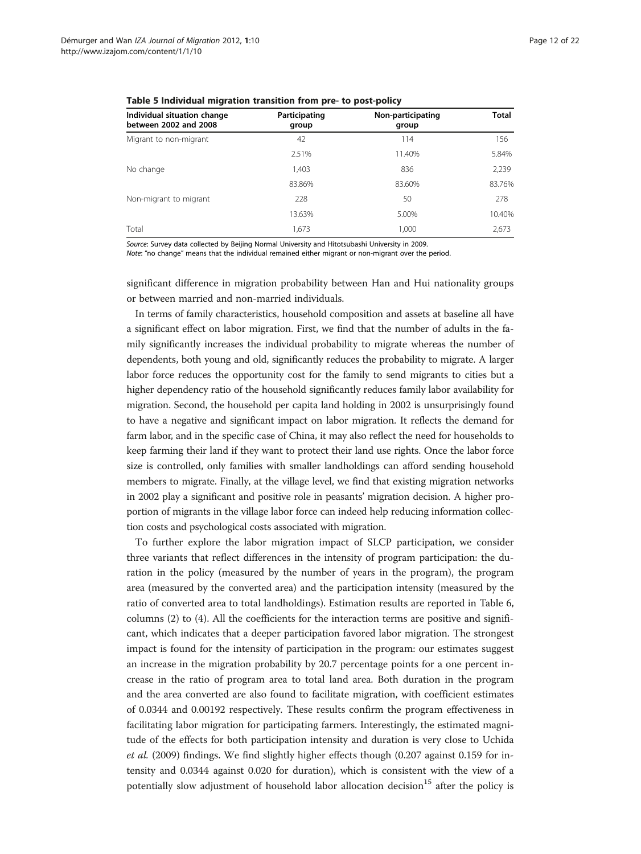| Individual situation change<br>between 2002 and 2008 | Participating<br>group | Non-participating<br>group | <b>Total</b> |
|------------------------------------------------------|------------------------|----------------------------|--------------|
| Migrant to non-migrant                               | 42                     | 114                        | 156          |
|                                                      | 2.51%                  | 11.40%                     | 5.84%        |
| No change                                            | 1,403                  | 836                        | 2,239        |
|                                                      | 83.86%                 | 83.60%                     | 83.76%       |
| Non-migrant to migrant                               | 228                    | 50                         | 278          |
|                                                      | 13.63%                 | 5.00%                      | 10.40%       |
| Total                                                | 1,673                  | 1,000                      | 2,673        |

<span id="page-11-0"></span>Table 5 Individual migration transition from pre- to post-policy

Source: Survey data collected by Beijing Normal University and Hitotsubashi University in 2009.

Note: "no change" means that the individual remained either migrant or non-migrant over the period.

significant difference in migration probability between Han and Hui nationality groups or between married and non-married individuals.

In terms of family characteristics, household composition and assets at baseline all have a significant effect on labor migration. First, we find that the number of adults in the family significantly increases the individual probability to migrate whereas the number of dependents, both young and old, significantly reduces the probability to migrate. A larger labor force reduces the opportunity cost for the family to send migrants to cities but a higher dependency ratio of the household significantly reduces family labor availability for migration. Second, the household per capita land holding in 2002 is unsurprisingly found to have a negative and significant impact on labor migration. It reflects the demand for farm labor, and in the specific case of China, it may also reflect the need for households to keep farming their land if they want to protect their land use rights. Once the labor force size is controlled, only families with smaller landholdings can afford sending household members to migrate. Finally, at the village level, we find that existing migration networks in 2002 play a significant and positive role in peasants' migration decision. A higher proportion of migrants in the village labor force can indeed help reducing information collection costs and psychological costs associated with migration.

To further explore the labor migration impact of SLCP participation, we consider three variants that reflect differences in the intensity of program participation: the duration in the policy (measured by the number of years in the program), the program area (measured by the converted area) and the participation intensity (measured by the ratio of converted area to total landholdings). Estimation results are reported in Table [6](#page-12-0), columns (2) to (4). All the coefficients for the interaction terms are positive and significant, which indicates that a deeper participation favored labor migration. The strongest impact is found for the intensity of participation in the program: our estimates suggest an increase in the migration probability by 20.7 percentage points for a one percent increase in the ratio of program area to total land area. Both duration in the program and the area converted are also found to facilitate migration, with coefficient estimates of 0.0344 and 0.00192 respectively. These results confirm the program effectiveness in facilitating labor migration for participating farmers. Interestingly, the estimated magnitude of the effects for both participation intensity and duration is very close to Uchida et al. [\(2009](#page-20-0)) findings. We find slightly higher effects though (0.207 against 0.159 for intensity and 0.0344 against 0.020 for duration), which is consistent with the view of a potentially slow adjustment of household labor allocation decision<sup>15</sup> after the policy is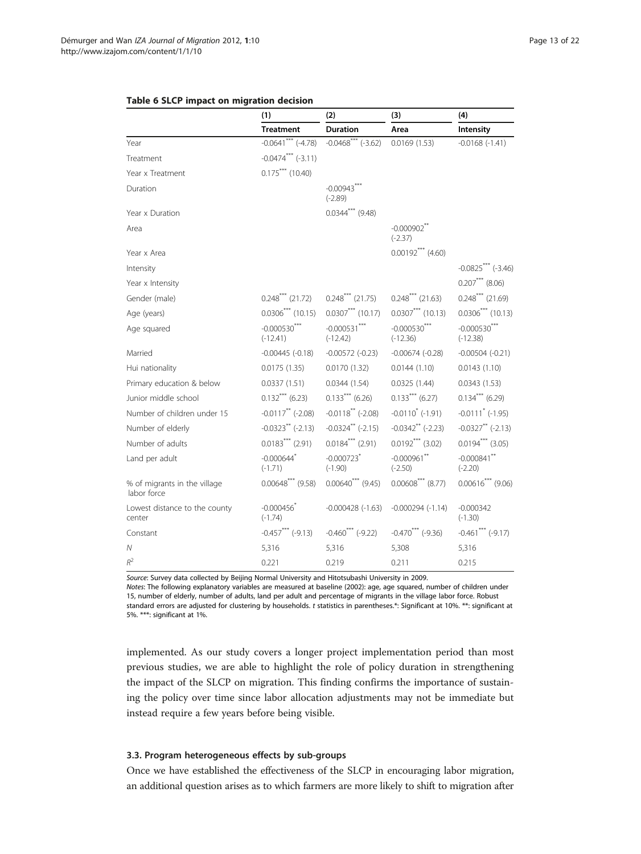#### <span id="page-12-0"></span>Table 6 SLCP impact on migration decision

|                                             | (1)                                   | (2)                                   | (3)                               | (4)                              |
|---------------------------------------------|---------------------------------------|---------------------------------------|-----------------------------------|----------------------------------|
|                                             | <b>Treatment</b>                      | <b>Duration</b>                       | Area                              | Intensity                        |
| Year                                        | $-0.0641***$ $(-4.78)$                | $-0.0468$ *** (-3.62)                 | 0.0169(1.53)                      | $-0.0168(-1.41)$                 |
| Treatment                                   | $-0.0474***$ $(-3.11)$                |                                       |                                   |                                  |
| Year x Treatment                            | $0.175***$ (10.40)                    |                                       |                                   |                                  |
| Duration                                    |                                       | $-0.00943$<br>$(-2.89)$               |                                   |                                  |
| Year x Duration                             |                                       | $0.0344***$ (9.48)                    |                                   |                                  |
| Area                                        |                                       |                                       | $-0.000902$ **<br>$(-2.37)$       |                                  |
| Year x Area                                 |                                       |                                       | $0.00192$ <sup>***</sup> (4.60)   |                                  |
| Intensity                                   |                                       |                                       |                                   | $-0.0825$ <sup>***</sup> (-3.46) |
| Year x Intensity                            |                                       |                                       |                                   | $0.207***$ (8.06)                |
| Gender (male)                               | $0.248***$ (21.72)                    | $0.248***$ (21.75)                    | $0.248$ <sup>***</sup> (21.63)    | $0.248***$ (21.69)               |
| Age (years)                                 | $0.0306***$ (10.15)                   | $0.0307***$ (10.17)                   | $0.0307***$ (10.13)               | $0.0306***$ (10.13)              |
| Age squared                                 | $-0.000530$ ***<br>$(-12.41)$         | $-0.000531$ ***<br>$(-12.42)$         | $-0.000530$ ***<br>$(-12.36)$     | $-0.000530$ ***<br>$(-12.38)$    |
| Married                                     | $-0.00445$ $(-0.18)$                  | $-0.00572$ $(-0.23)$                  | $-0.00674$ $(-0.28)$              | $-0.00504$ $(-0.21)$             |
| Hui nationality                             | 0.0175(1.35)                          | 0.0170(1.32)                          | 0.0144(1.10)                      | 0.0143(1.10)                     |
| Primary education & below                   | 0.0337(1.51)                          | 0.0344(1.54)                          | 0.0325(1.44)                      | 0.0343(1.53)                     |
| Junior middle school                        | $0.132***$ (6.23)                     | $0.133***$ (6.26)                     | $0.133***$ (6.27)                 | $0.134***$ (6.29)                |
| Number of children under 15                 | $-0.0117$ <sup>**</sup> (-2.08)       | $-0.0118$ <sup>**</sup> (-2.08)       | $-0.0110$ <sup>*</sup> $(-1.91)$  | $-0.0111$ <sup>*</sup> $(-1.95)$ |
| Number of elderly                           | $-0.0323**$ (-2.13)                   | $-0.0324$ <sup>**</sup> $(-2.15)$     | $-0.0342$ <sup>**</sup> $(-2.23)$ | $-0.0327$ ** (-2.13)             |
| Number of adults                            | $0.0183***$ (2.91)                    | $0.0184***$ (2.91)                    | $0.0192***$ (3.02)                | $0.0194***$ (3.05)               |
| Land per adult                              | $-0.000644$ <sup>*</sup><br>$(-1.71)$ | $-0.000723$ <sup>*</sup><br>$(-1.90)$ | $-0.000961$ **<br>$(-2.50)$       | $-0.000841$ **<br>$(-2.20)$      |
| % of migrants in the village<br>labor force | $0.00648$ *** (9.58)                  | $0.00640$ <sup>***</sup> (9.45)       | $0.00608***$ (8.77)               | $0.00616***$ (9.06)              |
| Lowest distance to the county<br>center     | $-0.000456$<br>$(-1.74)$              | $-0.000428$ $(-1.63)$                 | $-0.000294(-1.14)$                | $-0.000342$<br>$(-1.30)$         |
| Constant                                    | $-0.457***$ (-9.13)                   | $-0.460***$ (-9.22)                   | $-0.470***$ (-9.36)               | $-0.461$ <sup>***</sup> (-9.17)  |
| N                                           | 5,316                                 | 5,316                                 | 5,308                             | 5,316                            |
| $R^2$                                       | 0.221                                 | 0.219                                 | 0.211                             | 0.215                            |

Source: Survey data collected by Beijing Normal University and Hitotsubashi University in 2009.

Notes: The following explanatory variables are measured at baseline (2002): age, age squared, number of children under 15, number of elderly, number of adults, land per adult and percentage of migrants in the village labor force. Robust standard errors are adjusted for clustering by households. t statistics in parentheses.\*: Significant at 10%. \*\*: significant at 5%. \*\*\*: significant at 1%.

implemented. As our study covers a longer project implementation period than most previous studies, we are able to highlight the role of policy duration in strengthening the impact of the SLCP on migration. This finding confirms the importance of sustaining the policy over time since labor allocation adjustments may not be immediate but instead require a few years before being visible.

#### 3.3. Program heterogeneous effects by sub-groups

Once we have established the effectiveness of the SLCP in encouraging labor migration, an additional question arises as to which farmers are more likely to shift to migration after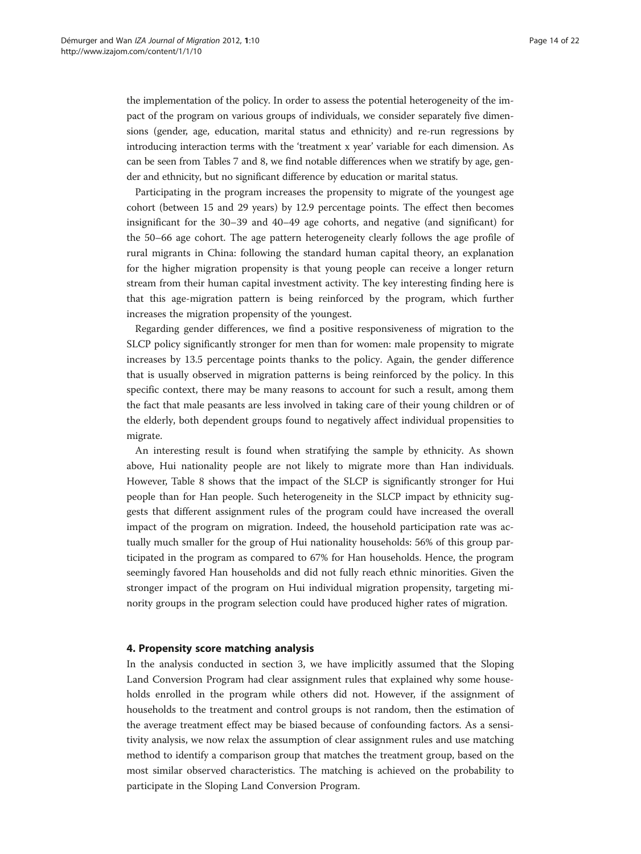the implementation of the policy. In order to assess the potential heterogeneity of the impact of the program on various groups of individuals, we consider separately five dimensions (gender, age, education, marital status and ethnicity) and re-run regressions by introducing interaction terms with the 'treatment x year' variable for each dimension. As can be seen from Tables [7](#page-14-0) and [8,](#page-16-0) we find notable differences when we stratify by age, gender and ethnicity, but no significant difference by education or marital status.

Participating in the program increases the propensity to migrate of the youngest age cohort (between 15 and 29 years) by 12.9 percentage points. The effect then becomes insignificant for the 30–39 and 40–49 age cohorts, and negative (and significant) for the 50–66 age cohort. The age pattern heterogeneity clearly follows the age profile of rural migrants in China: following the standard human capital theory, an explanation for the higher migration propensity is that young people can receive a longer return stream from their human capital investment activity. The key interesting finding here is that this age-migration pattern is being reinforced by the program, which further increases the migration propensity of the youngest.

Regarding gender differences, we find a positive responsiveness of migration to the SLCP policy significantly stronger for men than for women: male propensity to migrate increases by 13.5 percentage points thanks to the policy. Again, the gender difference that is usually observed in migration patterns is being reinforced by the policy. In this specific context, there may be many reasons to account for such a result, among them the fact that male peasants are less involved in taking care of their young children or of the elderly, both dependent groups found to negatively affect individual propensities to migrate.

An interesting result is found when stratifying the sample by ethnicity. As shown above, Hui nationality people are not likely to migrate more than Han individuals. However, Table [8](#page-16-0) shows that the impact of the SLCP is significantly stronger for Hui people than for Han people. Such heterogeneity in the SLCP impact by ethnicity suggests that different assignment rules of the program could have increased the overall impact of the program on migration. Indeed, the household participation rate was actually much smaller for the group of Hui nationality households: 56% of this group participated in the program as compared to 67% for Han households. Hence, the program seemingly favored Han households and did not fully reach ethnic minorities. Given the stronger impact of the program on Hui individual migration propensity, targeting minority groups in the program selection could have produced higher rates of migration.

#### 4. Propensity score matching analysis

In the analysis conducted in section 3, we have implicitly assumed that the Sloping Land Conversion Program had clear assignment rules that explained why some households enrolled in the program while others did not. However, if the assignment of households to the treatment and control groups is not random, then the estimation of the average treatment effect may be biased because of confounding factors. As a sensitivity analysis, we now relax the assumption of clear assignment rules and use matching method to identify a comparison group that matches the treatment group, based on the most similar observed characteristics. The matching is achieved on the probability to participate in the Sloping Land Conversion Program.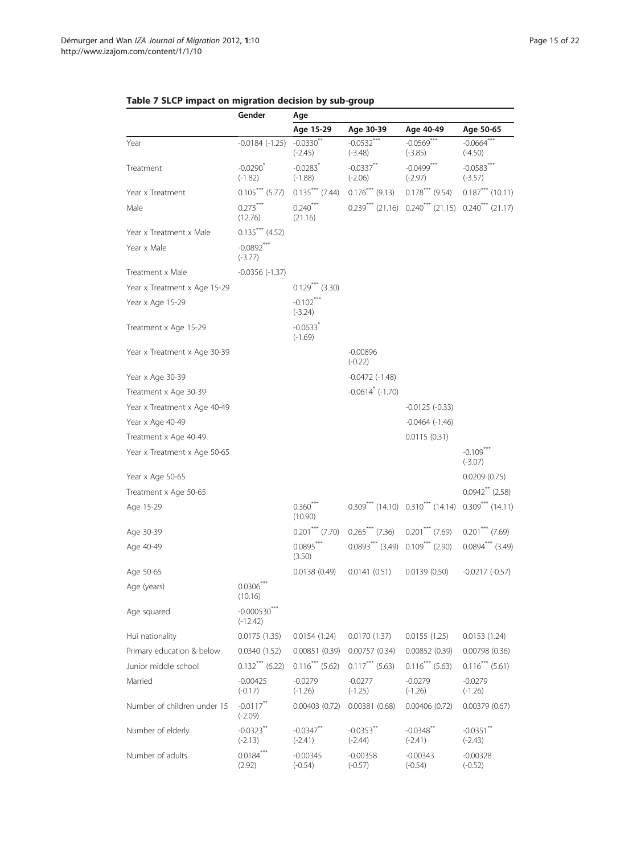|                              | Gender                        | Age                                  |                                      |                                                          |                               |
|------------------------------|-------------------------------|--------------------------------------|--------------------------------------|----------------------------------------------------------|-------------------------------|
|                              |                               | Age 15-29                            | Age 30-39                            | Age 40-49                                                | Age 50-65                     |
| Year                         | $-0.0184$ $(-1.25)$           | $-0.0330$ **<br>$(-2.45)$            | $-0.0532***$<br>$(-3.48)$            | $-0.0569$ **<br>$(-3.85)$                                | $-0.0664$ **<br>$(-4.50)$     |
| Treatment                    | $-0.0290^*$<br>$(-1.82)$      | $-0.0283$ <sup>*</sup><br>$(-1.88)$  | $-0.0337$ **<br>$(-2.06)$            | $-0.0499$ <sup>***</sup><br>$(-2.97)$                    | $-0.0583***$<br>$(-3.57)$     |
| Year x Treatment             | $0.105***$ (5.77)             | $0.135***$ (7.44)                    | $0.176***$ (9.13)                    | $0.178***$ (9.54)                                        | $0.187***$ (10.11)            |
| Male                         | $0.273***$<br>(12.76)         | $0.240$ ***<br>(21.16)               |                                      | $0.239***$ (21.16) $0.240***$ (21.15) $0.240***$ (21.17) |                               |
| Year x Treatment x Male      | $0.135***$ (4.52)             |                                      |                                      |                                                          |                               |
| Year x Male                  | $-0.0892***$<br>$(-3.77)$     |                                      |                                      |                                                          |                               |
| Treatment x Male             | $-0.0356(-1.37)$              |                                      |                                      |                                                          |                               |
| Year x Treatment x Age 15-29 |                               | $0.129***$ (3.30)                    |                                      |                                                          |                               |
| Year x Age 15-29             |                               | $-0.102***$<br>$(-3.24)$             |                                      |                                                          |                               |
| Treatment x Age 15-29        |                               | $-0.0633$ <sup>*</sup><br>$(-1.69)$  |                                      |                                                          |                               |
| Year x Treatment x Age 30-39 |                               |                                      | $-0.00896$<br>$(-0.22)$              |                                                          |                               |
| Year x Age 30-39             |                               |                                      | $-0.0472(-1.48)$                     |                                                          |                               |
| Treatment x Age 30-39        |                               |                                      | $-0.0614$ ( $-1.70$ )                |                                                          |                               |
| Year x Treatment x Age 40-49 |                               |                                      |                                      | $-0.0125(-0.33)$                                         |                               |
| Year x Age 40-49             |                               |                                      |                                      | $-0.0464$ $(-1.46)$                                      |                               |
| Treatment x Age 40-49        |                               |                                      |                                      | 0.0115(0.31)                                             |                               |
| Year x Treatment x Age 50-65 |                               |                                      |                                      |                                                          | $-0.109***$<br>$(-3.07)$      |
| Year x Age 50-65             |                               |                                      |                                      |                                                          | 0.0209(0.75)                  |
| Treatment x Age 50-65        |                               |                                      |                                      |                                                          | $0.0942$ <sup>**</sup> (2.58) |
| Age 15-29                    |                               | $0.360***$<br>(10.90)                |                                      | $0.309***$ (14.10) $0.310***$ (14.14) $0.309***$ (14.11) |                               |
| Age 30-39                    |                               | $0.201$ <sup>***</sup> (7.70)        | $0.265***$ (7.36)                    | $0.201***$ (7.69)                                        | $0.201$ <sup>***</sup> (7.69) |
| Age 40-49                    |                               | $0.0895***$<br>(3.50)                | $0.0893***$ (3.49) $0.109***$ (2.90) |                                                          | $0.0894***$ (3.49)            |
| Age 50-65                    |                               | 0.0138(0.49)                         | 0.0141(0.51)                         | 0.0139(0.50)                                             | $-0.0217(-0.57)$              |
| Age (years)                  | $0.0306***$<br>(10.16)        |                                      |                                      |                                                          |                               |
| Age squared                  | $-0.000530$ ***<br>$(-12.42)$ |                                      |                                      |                                                          |                               |
| Hui nationality              | 0.0175(1.35)                  | 0.0154(1.24)                         | 0.0170(1.37)                         | 0.0155(1.25)                                             | 0.0153(1.24)                  |
| Primary education & below    | 0.0340(1.52)                  | 0.00851(0.39)                        | 0.00757(0.34)                        | 0.00852(0.39)                                            | 0.00798(0.36)                 |
| Junior middle school         | $0.132***$ (6.22)             | $0.116***$ (5.62)                    | $0.117***$ (5.63)                    | $0.116$ <sup>***</sup> (5.63)                            | $0.116***$ (5.61)             |
| Married                      | $-0.00425$<br>$(-0.17)$       | $-0.0279$<br>$(-1.26)$               | $-0.0277$<br>$(-1.25)$               | $-0.0279$<br>$(-1.26)$                                   | $-0.0279$<br>$(-1.26)$        |
| Number of children under 15  | $-0.0117$ **<br>$(-2.09)$     | 0.00403(0.72)                        | 0.00381(0.68)                        | 0.00406(0.72)                                            | 0.00379(0.67)                 |
| Number of elderly            | $-0.0323$ **<br>$(-2.13)$     | $-0.0347$ <sup>**</sup><br>$(-2.41)$ | $-0.0353$ <sup>**</sup><br>$(-2.44)$ | $-0.0348$ **<br>$(-2.41)$                                | $-0.0351$ **<br>$(-2.43)$     |
| Number of adults             | $0.0184***$<br>(2.92)         | $-0.00345$<br>$(-0.54)$              | $-0.00358$<br>$(-0.57)$              | $-0.00343$<br>$(-0.54)$                                  | $-0.00328$<br>$(-0.52)$       |

## <span id="page-14-0"></span>Table 7 SLCP impact on migration decision by sub-group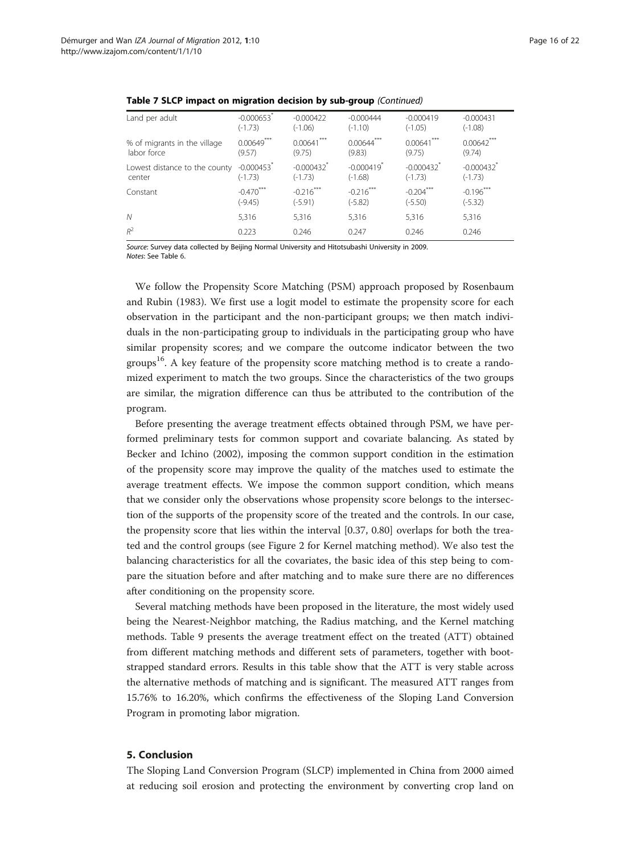| Land per adult                              | $-0.000653$ <sup>*</sup><br>$(-1.73)$ | $-0.000422$<br>$(-1.06)$ | $-0.000444$<br>$(-1.10)$ | $-0.000419$<br>$(-1.05)$ | $-0.000431$<br>$(-1.08)$ |
|---------------------------------------------|---------------------------------------|--------------------------|--------------------------|--------------------------|--------------------------|
| % of migrants in the village<br>labor force | $0.00649***$<br>(9.57)                | ***<br>0.00641<br>(9.75) | $0.00644***$<br>(9.83)   | 0.00641<br>(9.75)        | $0.00642***$<br>(9.74)   |
| Lowest distance to the county<br>center     | $-0.000453$<br>$(-1.73)$              | $-0.000432$<br>$(-1.73)$ | $-0.000419$<br>$(-1.68)$ | $-0.000432$<br>$(-1.73)$ | $-0.000432$<br>$(-1.73)$ |
| Constant                                    | $-0.470***$<br>$(-9.45)$              | $-0.216***$<br>$(-5.91)$ | $-0.216***$<br>$(-5.82)$ | $-0.204***$<br>$(-5.50)$ | $-0.196***$<br>$(-5.32)$ |
| N                                           | 5.316                                 | 5,316                    | 5.316                    | 5.316                    | 5,316                    |
| $R^2$                                       | 0.223                                 | 0.246                    | 0.247                    | 0.246                    | 0.246                    |

Table 7 SLCP impact on migration decision by sub-group (Continued)

Source: Survey data collected by Beijing Normal University and Hitotsubashi University in 2009. Notes: See Table [6](#page-12-0).

We follow the Propensity Score Matching (PSM) approach proposed by Rosenbaum and Rubin [\(1983\)](#page-20-0). We first use a logit model to estimate the propensity score for each observation in the participant and the non-participant groups; we then match individuals in the non-participating group to individuals in the participating group who have similar propensity scores; and we compare the outcome indicator between the two groups<sup>16</sup>. A key feature of the propensity score matching method is to create a randomized experiment to match the two groups. Since the characteristics of the two groups are similar, the migration difference can thus be attributed to the contribution of the program.

Before presenting the average treatment effects obtained through PSM, we have performed preliminary tests for common support and covariate balancing. As stated by Becker and Ichino [\(2002\)](#page-20-0), imposing the common support condition in the estimation of the propensity score may improve the quality of the matches used to estimate the average treatment effects. We impose the common support condition, which means that we consider only the observations whose propensity score belongs to the intersection of the supports of the propensity score of the treated and the controls. In our case, the propensity score that lies within the interval [0.37, 0.80] overlaps for both the treated and the control groups (see Figure [2](#page-17-0) for Kernel matching method). We also test the balancing characteristics for all the covariates, the basic idea of this step being to compare the situation before and after matching and to make sure there are no differences after conditioning on the propensity score.

Several matching methods have been proposed in the literature, the most widely used being the Nearest-Neighbor matching, the Radius matching, and the Kernel matching methods. Table [9](#page-17-0) presents the average treatment effect on the treated (ATT) obtained from different matching methods and different sets of parameters, together with bootstrapped standard errors. Results in this table show that the ATT is very stable across the alternative methods of matching and is significant. The measured ATT ranges from 15.76% to 16.20%, which confirms the effectiveness of the Sloping Land Conversion Program in promoting labor migration.

## 5. Conclusion

The Sloping Land Conversion Program (SLCP) implemented in China from 2000 aimed at reducing soil erosion and protecting the environment by converting crop land on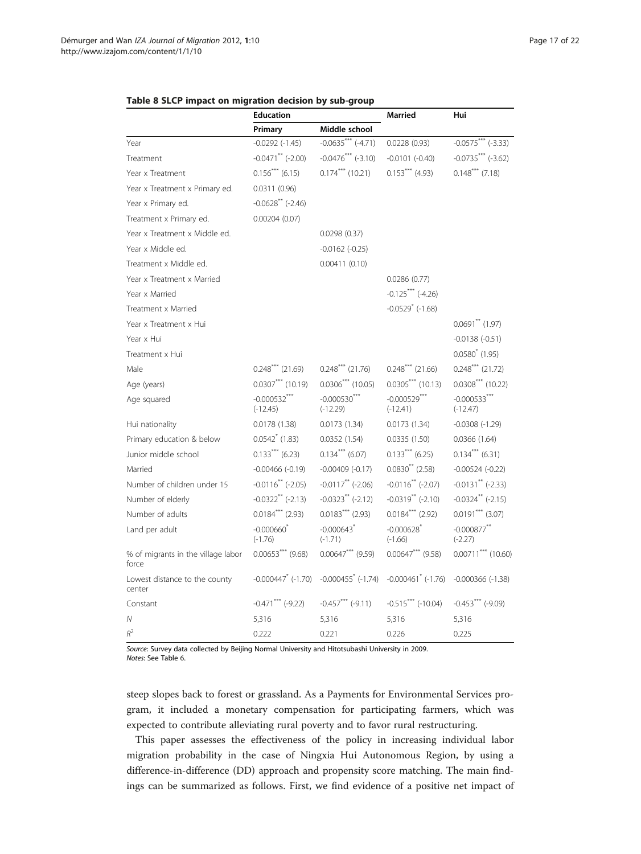|                                             | <b>Education</b>                  |                                                                   | <b>Married</b>                     | Hui                               |  |
|---------------------------------------------|-----------------------------------|-------------------------------------------------------------------|------------------------------------|-----------------------------------|--|
|                                             | Primary                           | Middle school                                                     |                                    |                                   |  |
| Year                                        | $-0.0292(-1.45)$                  | $-0.0635***$ $(-4.71)$                                            | 0.0228(0.93)                       | $-0.0575***$ (-3.33)              |  |
| Treatment                                   | $-0.0471$ <sup>**</sup> (-2.00)   | $-0.0476$ *** (-3.10)                                             | $-0.0101$ $(-0.40)$                | $-0.0735***$ (-3.62)              |  |
| Year x Treatment                            | $0.156***$ (6.15)                 | $0.174***$ (10.21)                                                | $0.153***$ (4.93)                  | $0.148***$ (7.18)                 |  |
| Year x Treatment x Primary ed.              | 0.0311(0.96)                      |                                                                   |                                    |                                   |  |
| Year x Primary ed.                          | $-0.0628$ ** (-2.46)              |                                                                   |                                    |                                   |  |
| Treatment x Primary ed.                     | 0.00204(0.07)                     |                                                                   |                                    |                                   |  |
| Year x Treatment x Middle ed.               |                                   | 0.0298(0.37)                                                      |                                    |                                   |  |
| Year x Middle ed.                           |                                   | $-0.0162$ $(-0.25)$                                               |                                    |                                   |  |
| Treatment x Middle ed.                      |                                   | 0.00411(0.10)                                                     |                                    |                                   |  |
| Year x Treatment x Married                  |                                   |                                                                   | 0.0286(0.77)                       |                                   |  |
| Year x Married                              |                                   |                                                                   | $-0.125***$ (-4.26)                |                                   |  |
| Treatment x Married                         |                                   |                                                                   | $-0.0529$ ( $-1.68$ )              |                                   |  |
| Year x Treatment x Hui                      |                                   |                                                                   |                                    | $0.0691$ ** (1.97)                |  |
| Year x Hui                                  |                                   |                                                                   |                                    | $-0.0138(-0.51)$                  |  |
| Treatment x Hui                             |                                   |                                                                   |                                    | $0.0580^*$ (1.95)                 |  |
| Male                                        | $0.248***$ (21.69)                | $0.248***$ (21.76)                                                | $0.248$ *** (21.66)                | $0.248***$ (21.72)                |  |
| Age (years)                                 | $0.0307***$ (10.19)               | $0.0306***$ (10.05)                                               | $0.0305***$ (10.13)                | $0.0308***$ (10.22)               |  |
| Age squared                                 | $-0.000532***$<br>$(-12.45)$      | $-0.000530$ ***<br>$(-12.29)$                                     | $-0.000529***$<br>$(-12.41)$       | $-0.000533$ ***<br>$(-12.47)$     |  |
| Hui nationality                             | 0.0178(1.38)                      | 0.0173(1.34)                                                      | 0.0173(1.34)                       | $-0.0308(-1.29)$                  |  |
| Primary education & below                   | $0.0542$ (1.83)                   | 0.0352(1.54)                                                      | 0.0335(1.50)                       | 0.0366(1.64)                      |  |
| Junior middle school                        | $0.133***$ (6.23)                 | $0.134***$ (6.07)                                                 | $0.133***$ (6.25)                  | $0.134***$ (6.31)                 |  |
| Married                                     | $-0.00466(-0.19)$                 | $-0.00409(-0.17)$                                                 | $0.0830^{**}$ (2.58)               | $-0.00524$ $(-0.22)$              |  |
| Number of children under 15                 | $-0.0116$ <sup>**</sup> (-2.05)   | $-0.0117***$ (-2.06)                                              | $-0.0116$ ** (-2.07)               | $-0.0131$ ** (-2.33)              |  |
| Number of elderly                           | $-0.0322$ <sup>**</sup> $(-2.13)$ | $-0.0323$ <sup>**</sup> $(-2.12)$                                 | $-0.0319$ ** (-2.10)               | $-0.0324$ <sup>**</sup> $(-2.15)$ |  |
| Number of adults                            | $0.0184***$ (2.93)                | $0.0183***$ (2.93)                                                | $0.0184***$ (2.92)                 | $0.0191***$ (3.07)                |  |
| Land per adult                              | $-0.000660$<br>$(-1.76)$          | $-0.000643$ <sup>*</sup><br>$(-1.71)$                             | $-0.000628$<br>$(-1.66)$           | $-0.000877$ **<br>$(-2.27)$       |  |
| % of migrants in the village labor<br>force | $0.00653***$ (9.68)               | $0.00647***$ (9.59)                                               | $0.00647***$ (9.58)                | $0.00711***$ (10.60)              |  |
| Lowest distance to the county<br>center     |                                   | $-0.000447$ <sup>*</sup> (-1.70) $-0.000455$ <sup>*</sup> (-1.74) | $-0.000461$ <sup>*</sup> $(-1.76)$ | $-0.000366(-1.38)$                |  |
| Constant                                    | $-0.471$ <sup>***</sup> (-9.22)   | $-0.457***$ $(-9.11)$                                             | $-0.515***$ (-10.04)               | $-0.453***$ (-9.09)               |  |
| $\mathcal N$                                | 5,316                             | 5,316                                                             | 5,316                              | 5,316                             |  |
| $R^2$                                       | 0.222                             | 0.221                                                             | 0.226                              | 0.225                             |  |

#### <span id="page-16-0"></span>Table 8 SLCP impact on migration decision by sub-group

Source: Survey data collected by Beijing Normal University and Hitotsubashi University in 2009. Notes: See Table [6](#page-12-0).

steep slopes back to forest or grassland. As a Payments for Environmental Services program, it included a monetary compensation for participating farmers, which was expected to contribute alleviating rural poverty and to favor rural restructuring.

This paper assesses the effectiveness of the policy in increasing individual labor migration probability in the case of Ningxia Hui Autonomous Region, by using a difference-in-difference (DD) approach and propensity score matching. The main findings can be summarized as follows. First, we find evidence of a positive net impact of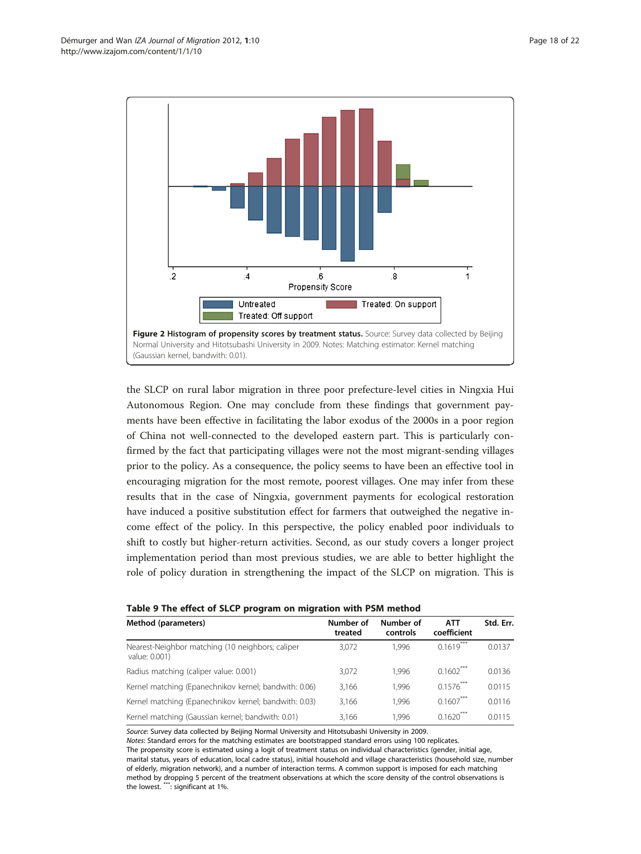<span id="page-17-0"></span>

the SLCP on rural labor migration in three poor prefecture-level cities in Ningxia Hui Autonomous Region. One may conclude from these findings that government payments have been effective in facilitating the labor exodus of the 2000s in a poor region of China not well-connected to the developed eastern part. This is particularly confirmed by the fact that participating villages were not the most migrant-sending villages prior to the policy. As a consequence, the policy seems to have been an effective tool in encouraging migration for the most remote, poorest villages. One may infer from these results that in the case of Ningxia, government payments for ecological restoration have induced a positive substitution effect for farmers that outweighed the negative income effect of the policy. In this perspective, the policy enabled poor individuals to shift to costly but higher-return activities. Second, as our study covers a longer project implementation period than most previous studies, we are able to better highlight the role of policy duration in strengthening the impact of the SLCP on migration. This is

|  |  |  | Table 9 The effect of SLCP program on migration with PSM method |  |  |
|--|--|--|-----------------------------------------------------------------|--|--|
|  |  |  |                                                                 |  |  |

| Method (parameters)                                               | Number of<br>treated | Number of<br>controls | ATT<br>coefficient | Std. Err. |
|-------------------------------------------------------------------|----------------------|-----------------------|--------------------|-----------|
| Nearest-Neighbor matching (10 neighbors; caliper<br>value: 0.001) | 3,072                | 1.996                 | 0.1619             | 0.0137    |
| Radius matching (caliper value: 0.001)                            | 3.072                | 1.996                 | $0.1602***$        | 0.0136    |
| Kernel matching (Epanechnikov kernel; bandwith: 0.06)             | 3.166                | 1.996                 | $0.1576***$        | 0.0115    |
| Kernel matching (Epanechnikov kernel; bandwith: 0.03)             | 3.166                | 1.996                 | $0.1607***$        | 0.0116    |
| Kernel matching (Gaussian kernel; bandwith: 0.01)                 | 3.166                | 1.996                 | 0.1620             | 0.0115    |

Source: Survey data collected by Beijing Normal University and Hitotsubashi University in 2009.

Notes: Standard errors for the matching estimates are bootstrapped standard errors using 100 replicates. The propensity score is estimated using a logit of treatment status on individual characteristics (gender, initial age, marital status, years of education, local cadre status), initial household and village characteristics (household size, number of elderly, migration network), and a number of interaction terms. A common support is imposed for each matching method by dropping 5 percent of the treatment observations at which the score density of the control observations is the lowest. \*\*\*: significant at 1%.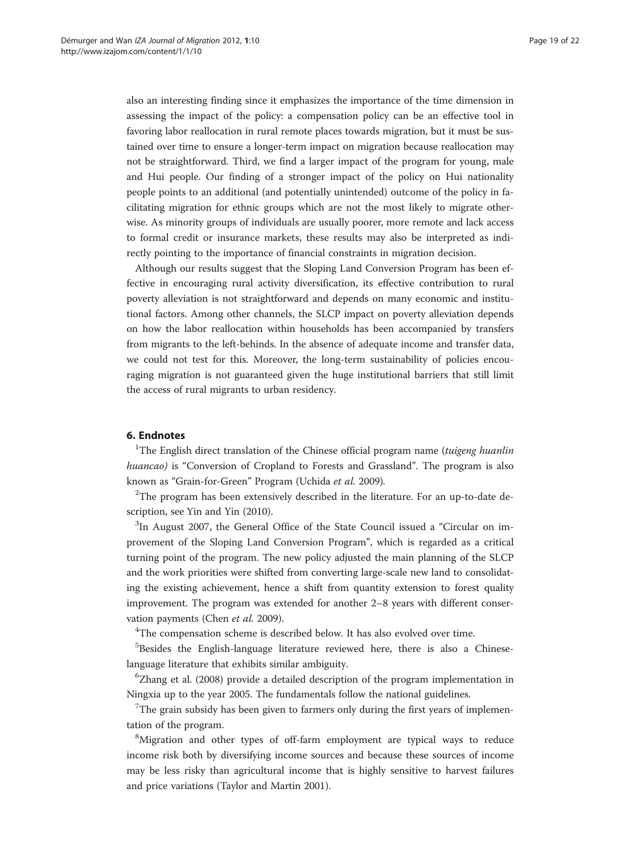also an interesting finding since it emphasizes the importance of the time dimension in assessing the impact of the policy: a compensation policy can be an effective tool in favoring labor reallocation in rural remote places towards migration, but it must be sustained over time to ensure a longer-term impact on migration because reallocation may not be straightforward. Third, we find a larger impact of the program for young, male and Hui people. Our finding of a stronger impact of the policy on Hui nationality people points to an additional (and potentially unintended) outcome of the policy in facilitating migration for ethnic groups which are not the most likely to migrate otherwise. As minority groups of individuals are usually poorer, more remote and lack access to formal credit or insurance markets, these results may also be interpreted as indirectly pointing to the importance of financial constraints in migration decision.

Although our results suggest that the Sloping Land Conversion Program has been effective in encouraging rural activity diversification, its effective contribution to rural poverty alleviation is not straightforward and depends on many economic and institutional factors. Among other channels, the SLCP impact on poverty alleviation depends on how the labor reallocation within households has been accompanied by transfers from migrants to the left-behinds. In the absence of adequate income and transfer data, we could not test for this. Moreover, the long-term sustainability of policies encouraging migration is not guaranteed given the huge institutional barriers that still limit the access of rural migrants to urban residency.

#### 6. Endnotes

<sup>1</sup>The English direct translation of the Chinese official program name (tuigeng huanlin huancao) is "Conversion of Cropland to Forests and Grassland". The program is also known as "Grain-for-Green" Program (Uchida et al. [2009](#page-20-0)).

 $2$ The program has been extensively described in the literature. For an up-to-date description, see Yin and Yin ([2010](#page-20-0)).

<sup>3</sup>In August 2007, the General Office of the State Council issued a "Circular on improvement of the Sloping Land Conversion Program", which is regarded as a critical turning point of the program. The new policy adjusted the main planning of the SLCP and the work priorities were shifted from converting large-scale new land to consolidating the existing achievement, hence a shift from quantity extension to forest quality improvement. The program was extended for another 2–8 years with different conservation payments (Chen et al. [2009\)](#page-20-0).

<sup>4</sup>The compensation scheme is described below. It has also evolved over time.

<sup>5</sup>Besides the English-language literature reviewed here, there is also a Chineselanguage literature that exhibits similar ambiguity.

<sup>6</sup>Zhang et al. ([2008](#page-21-0)) provide a detailed description of the program implementation in Ningxia up to the year 2005. The fundamentals follow the national guidelines.

 $7$ The grain subsidy has been given to farmers only during the first years of implementation of the program.

<sup>8</sup>Migration and other types of off-farm employment are typical ways to reduce income risk both by diversifying income sources and because these sources of income may be less risky than agricultural income that is highly sensitive to harvest failures and price variations (Taylor and Martin [2001](#page-20-0)).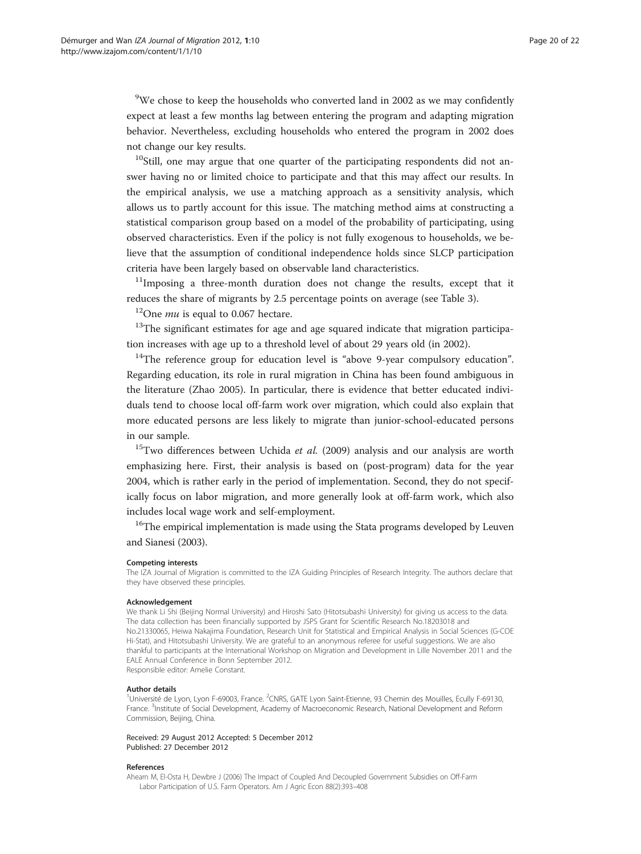<span id="page-19-0"></span> $9$ We chose to keep the households who converted land in 2002 as we may confidently expect at least a few months lag between entering the program and adapting migration behavior. Nevertheless, excluding households who entered the program in 2002 does not change our key results.

 $10$ Still, one may argue that one quarter of the participating respondents did not answer having no or limited choice to participate and that this may affect our results. In the empirical analysis, we use a matching approach as a sensitivity analysis, which allows us to partly account for this issue. The matching method aims at constructing a statistical comparison group based on a model of the probability of participating, using observed characteristics. Even if the policy is not fully exogenous to households, we believe that the assumption of conditional independence holds since SLCP participation criteria have been largely based on observable land characteristics.

<sup>11</sup>Imposing a three-month duration does not change the results, except that it reduces the share of migrants by 2.5 percentage points on average (see Table [3\)](#page-8-0).

 $12$ One *mu* is equal to 0.067 hectare.

 $13$ The significant estimates for age and age squared indicate that migration participation increases with age up to a threshold level of about 29 years old (in 2002).

<sup>14</sup>The reference group for education level is "above 9-year compulsory education". Regarding education, its role in rural migration in China has been found ambiguous in the literature (Zhao [2005](#page-21-0)). In particular, there is evidence that better educated individuals tend to choose local off-farm work over migration, which could also explain that more educated persons are less likely to migrate than junior-school-educated persons in our sample.

 $15$ Two differences between Uchida et al. ([2009](#page-20-0)) analysis and our analysis are worth emphasizing here. First, their analysis is based on (post-program) data for the year 2004, which is rather early in the period of implementation. Second, they do not specifically focus on labor migration, and more generally look at off-farm work, which also includes local wage work and self-employment.

 $16$ <sup>16</sup>The empirical implementation is made using the Stata programs developed by Leuven and Sianesi [\(2003\)](#page-20-0).

#### Competing interests

The IZA Journal of Migration is committed to the IZA Guiding Principles of Research Integrity. The authors declare that they have observed these principles.

#### Acknowledgement

We thank Li Shi (Beijing Normal University) and Hiroshi Sato (Hitotsubashi University) for giving us access to the data. The data collection has been financially supported by JSPS Grant for Scientific Research No.18203018 and No.21330065, Heiwa Nakajima Foundation, Research Unit for Statistical and Empirical Analysis in Social Sciences (G-COE Hi-Stat), and Hitotsubashi University. We are grateful to an anonymous referee for useful suggestions. We are also thankful to participants at the International Workshop on Migration and Development in Lille November 2011 and the EALE Annual Conference in Bonn September 2012. Responsible editor: Amelie Constant.

#### Author details

<sup>1</sup>Université de Lyon, Lyon F-69003, France. <sup>2</sup>CNRS, GATE Lyon Saint-Etienne, 93 Chemin des Mouilles, Ecully F-69130, France. <sup>3</sup>Institute of Social Development, Academy of Macroeconomic Research, National Development and Reform Commission, Beijing, China.

Received: 29 August 2012 Accepted: 5 December 2012 Published: 27 December 2012

#### References

Ahearn M, El-Osta H, Dewbre J (2006) The Impact of Coupled And Decoupled Government Subsidies on Off-Farm Labor Participation of U.S. Farm Operators. Am J Agric Econ 88(2):393–408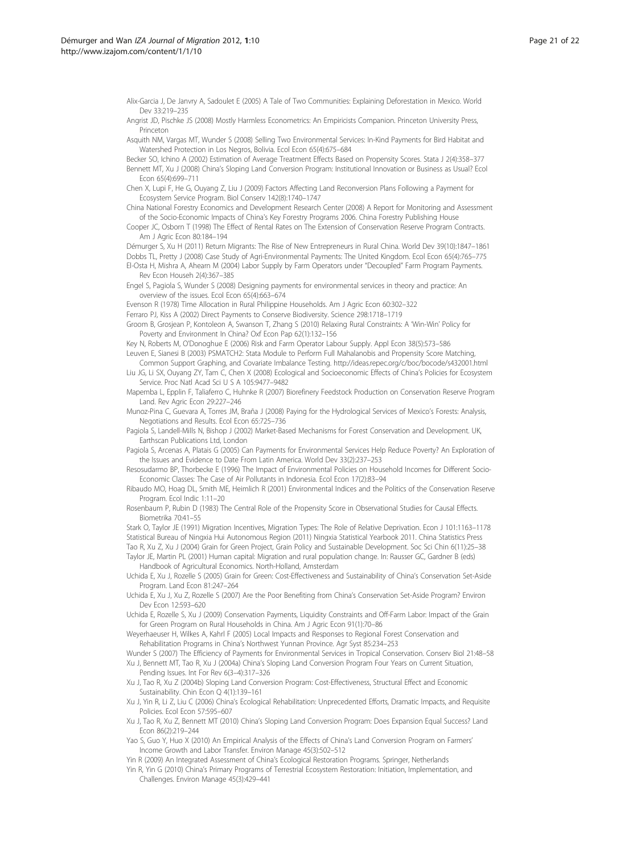<span id="page-20-0"></span>Alix-Garcia J, De Janvry A, Sadoulet E (2005) A Tale of Two Communities: Explaining Deforestation in Mexico. World Dev 33:219-235

Angrist JD, Pischke JS (2008) Mostly Harmless Econometrics: An Empiricists Companion. Princeton University Press, Princeton

Asquith NM, Vargas MT, Wunder S (2008) Selling Two Environmental Services: In-Kind Payments for Bird Habitat and Watershed Protection in Los Negros, Bolivia. Ecol Econ 65(4):675–684

Becker SO, Ichino A (2002) Estimation of Average Treatment Effects Based on Propensity Scores. Stata J 2(4):358–377 Bennett MT, Xu J (2008) China's Sloping Land Conversion Program: Institutional Innovation or Business as Usual? Ecol Econ 65(4):699–711

Chen X, Lupi F, He G, Ouyang Z, Liu J (2009) Factors Affecting Land Reconversion Plans Following a Payment for Ecosystem Service Program. Biol Conserv 142(8):1740–1747

China National Forestry Economics and Development Research Center (2008) A Report for Monitoring and Assessment of the Socio-Economic Impacts of China's Key Forestry Programs 2006. China Forestry Publishing House

Cooper JC, Osborn T (1998) The Effect of Rental Rates on The Extension of Conservation Reserve Program Contracts. Am J Agric Econ 80:184–194

Démurger S, Xu H (2011) Return Migrants: The Rise of New Entrepreneurs in Rural China. World Dev 39(10):1847–1861 Dobbs TL, Pretty J (2008) Case Study of Agri-Environmental Payments: The United Kingdom. Ecol Econ 65(4):765–775 El-Osta H, Mishra A, Ahearn M (2004) Labor Supply by Farm Operators under "Decoupled" Farm Program Payments. Rev Econ Househ 2(4):367–385

Engel S, Pagiola S, Wunder S (2008) Designing payments for environmental services in theory and practice: An overview of the issues. Ecol Econ 65(4):663–674

Evenson R (1978) Time Allocation in Rural Philippine Households. Am J Agric Econ 60:302–322

Ferraro PJ, Kiss A (2002) Direct Payments to Conserve Biodiversity. Science 298:1718–1719

Groom B, Grosjean P, Kontoleon A, Swanson T, Zhang S (2010) Relaxing Rural Constraints: A 'Win-Win' Policy for Poverty and Environment In China? Oxf Econ Pap 62(1):132–156

Key N, Roberts M, O'Donoghue E (2006) Risk and Farm Operator Labour Supply. Appl Econ 38(5):573–586 Leuven E, Sianesi B (2003) PSMATCH2: Stata Module to Perform Full Mahalanobis and Propensity Score Matching,

Common Support Graphing, and Covariate Imbalance Testing.<http://ideas.repec.org/c/boc/bocode/s432001.html> Liu JG, Li SX, Ouyang ZY, Tam C, Chen X (2008) Ecological and Socioeconomic Effects of China's Policies for Ecosystem

Service. Proc Natl Acad Sci U S A 105:9477–9482 Mapemba L, Epplin F, Taliaferro C, Huhnke R (2007) Biorefinery Feedstock Production on Conservation Reserve Program Land. Rev Agric Econ 29:227–246

Munoz-Pina C, Guevara A, Torres JM, Braña J (2008) Paying for the Hydrological Services of Mexico's Forests: Analysis, Negotiations and Results. Ecol Econ 65:725–736

Pagiola S, Landell-Mills N, Bishop J (2002) Market-Based Mechanisms for Forest Conservation and Development. UK, Earthscan Publications Ltd, London

Pagiola S, Arcenas A, Platais G (2005) Can Payments for Environmental Services Help Reduce Poverty? An Exploration of the Issues and Evidence to Date From Latin America. World Dev 33(2):237–253

Resosudarmo BP, Thorbecke E (1996) The Impact of Environmental Policies on Household Incomes for Different Socio-Economic Classes: The Case of Air Pollutants in Indonesia. Ecol Econ 17(2):83–94

Ribaudo MO, Hoag DL, Smith ME, Heimlich R (2001) Environmental Indices and the Politics of the Conservation Reserve Program. Ecol Indic 1:11–20

Rosenbaum P, Rubin D (1983) The Central Role of the Propensity Score in Observational Studies for Causal Effects. Biometrika 70:41–55

Stark O, Taylor JE (1991) Migration Incentives, Migration Types: The Role of Relative Deprivation. Econ J 101:1163–1178 Statistical Bureau of Ningxia Hui Autonomous Region (2011) Ningxia Statistical Yearbook 2011. China Statistics Press Tao R, Xu Z, Xu J (2004) Grain for Green Project, Grain Policy and Sustainable Development. Soc Sci Chin 6(11):25–38 Taylor JE, Martin PL (2001) Human capital: Migration and rural population change. In: Rausser GC, Gardner B (eds)

Handbook of Agricultural Economics. North-Holland, Amsterdam

Uchida E, Xu J, Rozelle S (2005) Grain for Green: Cost-Effectiveness and Sustainability of China's Conservation Set-Aside Program. Land Econ 81:247–264

Uchida E, Xu J, Xu Z, Rozelle S (2007) Are the Poor Benefiting from China's Conservation Set-Aside Program? Environ Dev Econ 12:593–620

Uchida E, Rozelle S, Xu J (2009) Conservation Payments, Liquidity Constraints and Off-Farm Labor: Impact of the Grain for Green Program on Rural Households in China. Am J Agric Econ 91(1):70–86

Weyerhaeuser H, Wilkes A, Kahrl F (2005) Local Impacts and Responses to Regional Forest Conservation and Rehabilitation Programs in China's Northwest Yunnan Province. Agr Syst 85:234–253

Wunder S (2007) The Efficiency of Payments for Environmental Services in Tropical Conservation. Conserv Biol 21:48–58 Xu J, Bennett MT, Tao R, Xu J (2004a) China's Sloping Land Conversion Program Four Years on Current Situation,

Pending Issues. Int For Rev 6(3–4):317–326

Xu J, Tao R, Xu Z (2004b) Sloping Land Conversion Program: Cost-Effectiveness, Structural Effect and Economic Sustainability. Chin Econ Q 4(1):139–161

Xu J, Yin R, Li Z, Liu C (2006) China's Ecological Rehabilitation: Unprecedented Efforts, Dramatic Impacts, and Requisite Policies. Ecol Econ 57:595–607

Xu J, Tao R, Xu Z, Bennett MT (2010) China's Sloping Land Conversion Program: Does Expansion Equal Success? Land Econ 86(2):219–244

Yao S, Guo Y, Huo X (2010) An Empirical Analysis of the Effects of China's Land Conversion Program on Farmers' Income Growth and Labor Transfer. Environ Manage 45(3):502–512

Yin R (2009) An Integrated Assessment of China's Ecological Restoration Programs. Springer, Netherlands

Yin R, Yin G (2010) China's Primary Programs of Terrestrial Ecosystem Restoration: Initiation, Implementation, and Challenges. Environ Manage 45(3):429–441